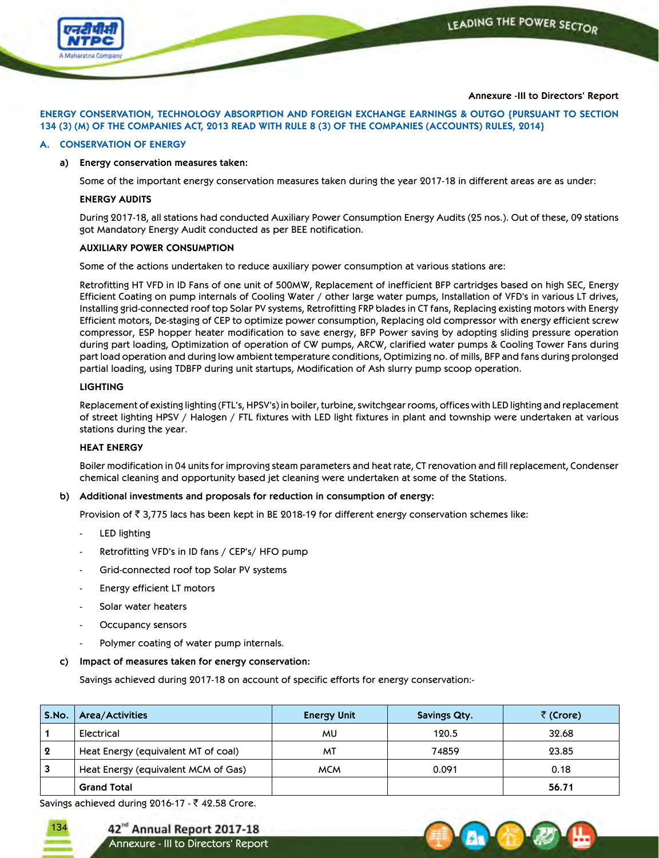

# **Annexure -III to Directors' Report**

**ENERGY CONSERVATION, TECHNOLOGY ABSORPTION AND FOREIGN EXCHANGE EARNINGS & OUTGO {PURSUANT TO SECTION** 134 (3) (M) OF THE COMPANIES ACT, 2013 READ WITH RULE 8 (3) OF THE COMPANIES (ACCOUNTS) RULES, 2014}

# **A. CONSERVATION OF ENERGY**

## **a) Energy conservation measures taken:**

Some of the important energy conservation measures taken during the year 2017-18 in different areas are as under:

# **ENERGY AUDITS**

 During 2017-18, all stations had conducted Auxiliary Power Consumption Energy Audits (25 nos.). Out of these, 09 stations got Mandatory Energy Audit conducted as per BEE notification.

## **AUXILIARY POWER CONSUMPTION**

Some of the actions undertaken to reduce auxiliary power consumption at various stations are:

 Retrofitting HT VFD in ID Fans of one unit of 500MW, Replacement of inefficient BFP cartridges based on high SEC, Energy Efficient Coating on pump internals of Cooling Water / other large water pumps, Installation of VFD's in various LT drives, Installing grid-connected roof top Solar PV systems, Retrofitting FRP blades in CT fans, Replacing existing motors with Energy Efficient motors, De-staging of CEP to optimize power consumption, Replacing old compressor with energy efficient screw compressor, ESP hopper heater modification to save energy, BFP Power saving by adopting sliding pressure operation during part loading, Optimization of operation of CW pumps, ARCW, clarified water pumps & Cooling Tower Fans during part load operation and during low ambient temperature conditions, Optimizing no. of mills, BFP and fans during prolonged partial loading, using TDBFP during unit startups, Modification of Ash slurry pump scoop operation.

# **LIGHTING**

Replacement of existing lighting (FTL's, HPSV's) in boiler, turbine, switchgear rooms, offices with LED lighting and replacement of street lighting HPSV / Halogen / FTL fixtures with LED light fixtures in plant and township were undertaken at various stations during the year.

# **HEAT ENERGY**

Boiler modification in 04 units for improving steam parameters and heat rate, CT renovation and fill replacement, Condenser chemical cleaning and opportunity based jet cleaning were undertaken at some of the Stations.

# **b) Additional investments and proposals for reduction in consumption of energy:**

Provision of  $\bar{\tau}$  3,775 lacs has been kept in BE 2018-19 for different energy conservation schemes like:

- LED lighting
- Retrofitting VFD's in ID fans / CEP's/ HFO pump
- Grid-connected roof top Solar PV systems
- Energy efficient LT motors
- Solar water heaters
- Occupancy sensors
- Polymer coating of water pump internals.
- **c) Impact of measures taken for energy conservation:**

Savings achieved during 2017-18 on account of specific efforts for energy conservation:-

| S.No.                 | Area/Activities                     | <b>Energy Unit</b> | <b>Savings Qty.</b> | र (Crore) |
|-----------------------|-------------------------------------|--------------------|---------------------|-----------|
|                       | Electrical                          | MU                 | 120.5               | 32.68     |
| $\boldsymbol{\Omega}$ | Heat Energy (equivalent MT of coal) | MT                 | 74859               | 23.85     |
| 3                     | Heat Energy (equivalent MCM of Gas) | <b>MCM</b>         | 0.091               | 0.18      |
|                       | <b>Grand Total</b>                  |                    |                     | 56.71     |

Savings achieved during 2016-17 -  $\bar{\tau}$  42.58 Crore.



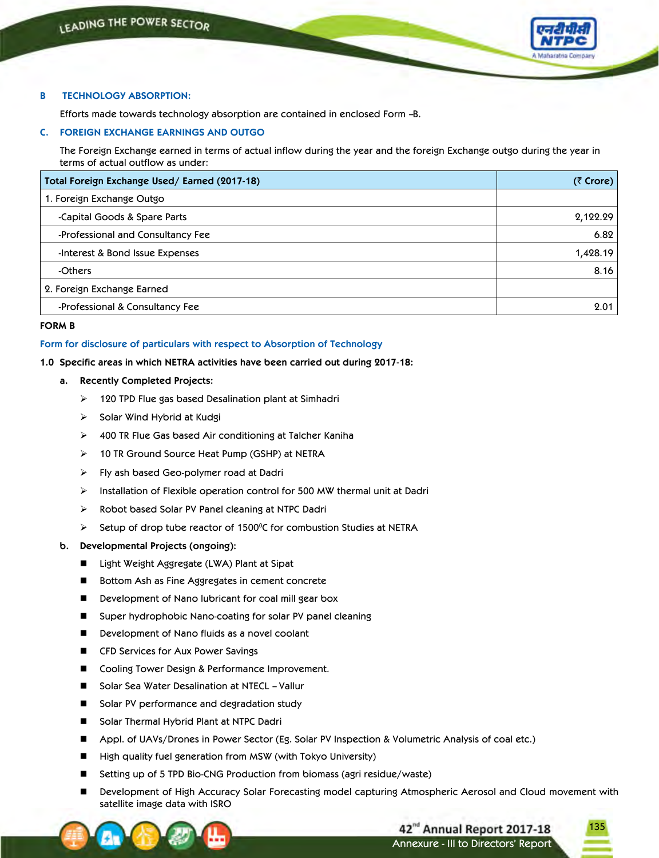

# **B TECHNOLOGY ABSORPTION:**

Efforts made towards technology absorption are contained in enclosed Form –B.

# **C. FOREIGN EXCHANGE EARNINGS AND OUTGO**

 The Foreign Exchange earned in terms of actual inflow during the year and the foreign Exchange outgo during the year in terms of actual outflow as under:

| Total Foreign Exchange Used/ Earned (2017-18) | $(3$ Crore) |
|-----------------------------------------------|-------------|
| 1. Foreign Exchange Outgo                     |             |
| -Capital Goods & Spare Parts                  | 2,122.29    |
| -Professional and Consultancy Fee             | 6.82        |
| -Interest & Bond Issue Expenses               | 1,428.19    |
| -Others                                       | 8.16        |
| 2. Foreign Exchange Earned                    |             |
| -Professional & Consultancy Fee               | 2.01        |

# **FORM B**

# **Form for disclosure of particulars with respect to Absorption of Technology**

# **1.0 Specific areas in which NETRA activities have been carried out during 2017-18:**

- **a. Recently Completed Projects:**
	- 120 TPD Flue gas based Desalination plant at Simhadri
	- $\triangleright$  Solar Wind Hybrid at Kudgi
	- 400 TR Flue Gas based Air conditioning at Talcher Kaniha
	- 10 TR Ground Source Heat Pump (GSHP) at NETRA
	- Fly ash based Geo-polymer road at Dadri
	- $\triangleright$  Installation of Flexible operation control for 500 MW thermal unit at Dadri
	- $\triangleright$  Robot based Solar PV Panel cleaning at NTPC Dadri
- $\triangleright$  Setup of drop tube reactor of 1500°C for combustion Studies at NETRA

# **b. Developmental Projects (ongoing):**

- Light Weight Aggregate (LWA) Plant at Sipat
- Bottom Ash as Fine Aggregates in cement concrete
- Development of Nano lubricant for coal mill gear box
- Super hydrophobic Nano-coating for solar PV panel cleaning
- Development of Nano fluids as a novel coolant
- CFD Services for Aux Power Savings
- Cooling Tower Design & Performance Improvement.
- Solar Sea Water Desalination at NTECL Vallur
- Solar PV performance and degradation study
- Solar Thermal Hybrid Plant at NTPC Dadri
- Appl. of UAVs/Drones in Power Sector (Eg. Solar PV Inspection & Volumetric Analysis of coal etc.)
- High quality fuel generation from MSW (with Tokyo University)
- Setting up of 5 TPD Bio-CNG Production from biomass (agri residue/waste)
- Development of High Accuracy Solar Forecasting model capturing Atmospheric Aerosol and Cloud movement with satellite image data with ISRO

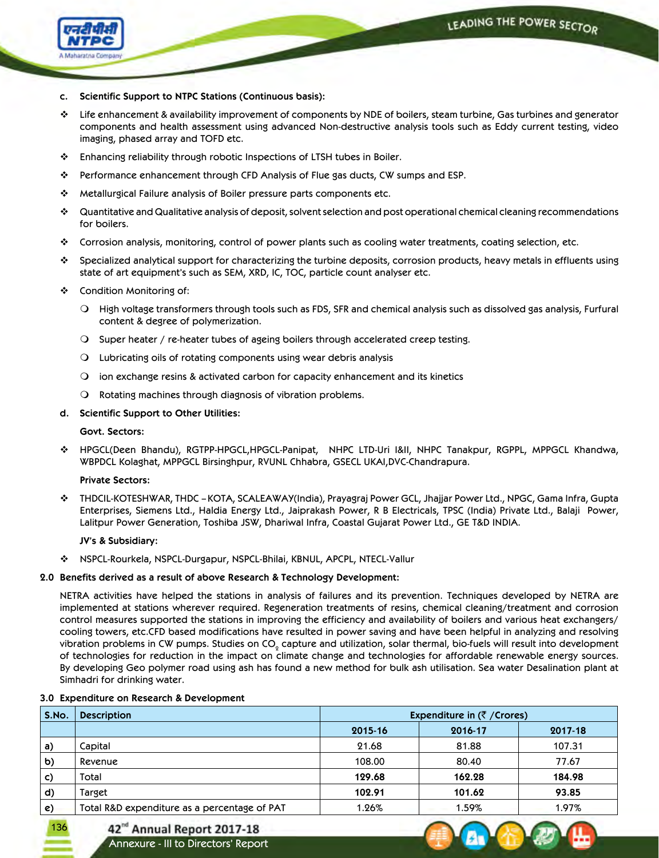

- **c. Scientific Support to NTPC Stations (Continuous basis):**
- $\div$  Life enhancement & availability improvement of components by NDE of boilers, steam turbine, Gas turbines and generator components and health assessment using advanced Non-destructive analysis tools such as Eddy current testing, video imaging, phased array and TOFD etc.
- Enhancing reliability through robotic Inspections of LTSH tubes in Boiler.
- Performance enhancement through CFD Analysis of Flue gas ducts, CW sumps and ESP.
- Metallurgical Failure analysis of Boiler pressure parts components etc.
- Quantitative and Qualitative analysis of deposit, solvent selection and post operational chemical cleaning recommendations for boilers.
- Corrosion analysis, monitoring, control of power plants such as cooling water treatments, coating selection, etc.
- Specialized analytical support for characterizing the turbine deposits, corrosion products, heavy metals in effluents using state of art equipment's such as SEM, XRD, IC, TOC, particle count analyser etc.
- Condition Monitoring of:
	- $\bigcirc$  High voltage transformers through tools such as FDS, SFR and chemical analysis such as dissolved gas analysis, Furfural content & degree of polymerization.
	- $\bigcirc$  Super heater / re-heater tubes of ageing boilers through accelerated creep testing.
	- $\Omega$  Lubricating oils of rotating components using wear debris analysis
	- $\bigcirc$  ion exchange resins & activated carbon for capacity enhancement and its kinetics
	- $\Omega$  Rotating machines through diagnosis of vibration problems.

# **d. Scientific Support to Other Utilities:**

# **Govt. Sectors:**

 HPGCL(Deen Bhandu), RGTPP-HPGCL,HPGCL-Panipat, NHPC LTD-Uri I&II, NHPC Tanakpur, RGPPL, MPPGCL Khandwa, WBPDCL Kolaghat, MPPGCL Birsinghpur, RVUNL Chhabra, GSECL UKAI,DVC-Chandrapura.

# **Private Sectors:**

 THDCIL-KOTESHWAR, THDC – KOTA, SCALEAWAY(India), Prayagraj Power GCL, Jhajjar Power Ltd., NPGC, Gama Infra, Gupta Enterprises, Siemens Ltd., Haldia Energy Ltd., Jaiprakash Power, R B Electricals, TPSC (India) Private Ltd., Balaji Power, Lalitpur Power Generation, Toshiba JSW, Dhariwal Infra, Coastal Gujarat Power Ltd., GE T&D INDIA.

# **JV's & Subsidiary:**

NSPCL-Rourkela, NSPCL-Durgapur, NSPCL-Bhilai, KBNUL, APCPL, NTECL-Vallur

# **2.0 Benefits derived as a result of above Research & Technology Development:**

NETRA activities have helped the stations in analysis of failures and its prevention. Techniques developed by NETRA are implemented at stations wherever required. Regeneration treatments of resins, chemical cleaning/treatment and corrosion control measures supported the stations in improving the efficiency and availability of boilers and various heat exchangers/ cooling towers, etc.CFD based modifications have resulted in power saving and have been helpful in analyzing and resolving vibration problems in CW pumps. Studies on CO<sub>2</sub> capture and utilization, solar thermal, bio-fuels will result into development of technologies for reduction in the impact on climate change and technologies for affordable renewable energy sources. By developing Geo polymer road using ash has found a new method for bulk ash utilisation. Sea water Desalination plant at Simhadri for drinking water.

# **3.0 Expenditure on Research & Development**

136

| S.No. | <b>Description</b>                           | Expenditure in $(\bar{z})$ (Crores) |         |         |  |  |  |
|-------|----------------------------------------------|-------------------------------------|---------|---------|--|--|--|
|       |                                              | 2015-16                             | 2016-17 | 2017-18 |  |  |  |
| a)    | Capital                                      | 21.68                               | 81.88   | 107.31  |  |  |  |
| b)    | Revenue                                      | 108.00                              | 80.40   | 77.67   |  |  |  |
| c)    | Total                                        | 129.68                              | 162.28  | 184.98  |  |  |  |
| d)    | Target                                       | 102.91                              | 101.62  | 93.85   |  |  |  |
| e)    | Total R&D expenditure as a percentage of PAT | 1.26%                               | 1.59%   | 1.97%   |  |  |  |

# 42<sup>nd</sup> Annual Report 2017-18

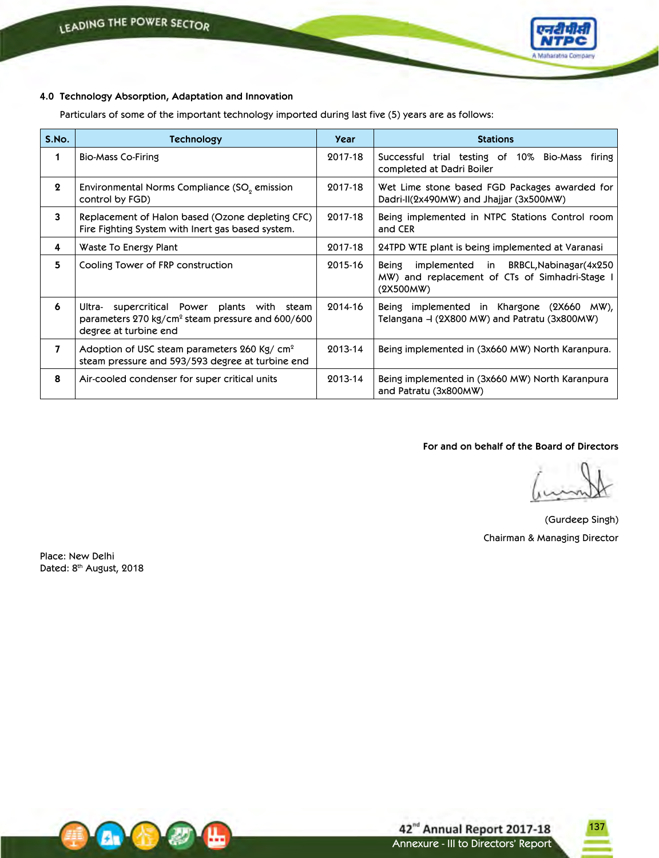

# **4.0 Technology Absorption, Adaptation and Innovation**

Particulars of some of the important technology imported during last five (5) years are as follows:

| S.No.        | Technology                                                                                                                              | Year    | <b>Stations</b>                                                                                                 |
|--------------|-----------------------------------------------------------------------------------------------------------------------------------------|---------|-----------------------------------------------------------------------------------------------------------------|
| 1            | <b>Bio-Mass Co-Firing</b>                                                                                                               | 2017-18 | Successful trial testing of 10% Bio-Mass firing<br>completed at Dadri Boiler                                    |
| $\mathbf{2}$ | Environmental Norms Compliance (SO <sub>o</sub> emission<br>control by FGD)                                                             | 2017-18 | Wet Lime stone based FGD Packages awarded for<br>Dadri-II(2x490MW) and Jhajjar (3x500MW)                        |
| 3            | Replacement of Halon based (Ozone depleting CFC)<br>Fire Fighting System with Inert gas based system.                                   | 2017-18 | Being implemented in NTPC Stations Control room<br>and CER                                                      |
| 4            | Waste To Energy Plant                                                                                                                   | 2017-18 | 24TPD WTE plant is being implemented at Varanasi                                                                |
| 5            | Cooling Tower of FRP construction                                                                                                       | 2015-16 | implemented in BRBCL, Nabinagar (4x250)<br>Being<br>MW) and replacement of CTs of Simhadri-Stage I<br>(2X500MW) |
| 6            | supercritical Power plants with steam<br>Ultra-<br>parameters $270 \text{ kg/cm}^2$ steam pressure and 600/600<br>degree at turbine end | 2014-16 | Being implemented in Khargone (2X660 MW),<br>Telangana – (2X800 MW) and Patratu (3x800MW)                       |
| 7            | Adoption of USC steam parameters 260 Kg/ $cm2$<br>steam pressure and 593/593 degree at turbine end                                      | 2013-14 | Being implemented in (3x660 MW) North Karanpura.                                                                |
| 8            | Air-cooled condenser for super critical units                                                                                           | 2013-14 | Being implemented in (3x660 MW) North Karanpura<br>and Patratu (3x800MW)                                        |

**For and on behalf of the Board of Directors**

137

(Gurdeep Singh) Chairman & Managing Director

Place: New Delhi Dated: 8<sup>th</sup> August, 2018

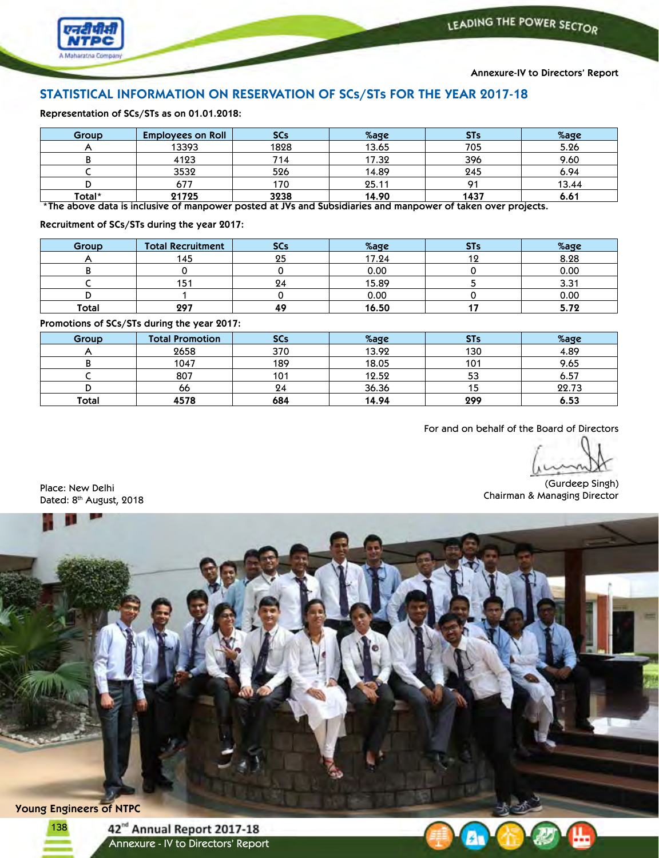



**Annexure-IV to Directors' Report**

# **STATISTICAL INFORMATION ON RESERVATION OF SCs/STs FOR THE YEAR 2017-18**

**Representation of SCs/STs as on 01.01.2018:**

| Group  | <b>Employees on Roll</b> | <b>SCs</b> | %age  | <b>STs</b> | %age  |
|--------|--------------------------|------------|-------|------------|-------|
| 13393  |                          | 1828       | 13.65 | 705        | 5.26  |
|        | 4123                     | 714        | 17.32 | 396        | 9.60  |
|        | 3532                     | 526        | 14.89 | 245        | 6.94  |
|        | 677                      | '70        | 25.11 | О1         | 13.44 |
| Total* | 21725                    | 3238       | 14.90 | 1437       | 6.61  |

\*The above data is inclusive of manpower posted at JVs and Subsidiaries and manpower of taken over projects.

**Recruitment of SCs/STs during the year 2017:**

| Group | <b>Total Recruitment</b> | <b>SCs</b> | %age  | <b>STs</b> | %age |
|-------|--------------------------|------------|-------|------------|------|
|       | 145                      | 25         | 17.24 | 12         | 8.28 |
|       |                          |            | 0.00  |            | 0.00 |
|       | 151                      | 24         | 15.89 |            | 3.31 |
|       |                          |            | 0.00  |            | 0.00 |
| Total | 297                      | ДC         | 16.50 |            | 5.72 |

**Promotions of SCs/STs during the year 2017:**

| Group | <b>Total Promotion</b> | <b>SCs</b> | %age  | <b>STs</b> | %age  |
|-------|------------------------|------------|-------|------------|-------|
|       | 2658                   | 370        | 13.92 | 130        | 4.89  |
|       | 1047                   | 189        | 18.05 | 101        | 9.65  |
|       | 807                    | 101        | 12.52 | 53         | 6.57  |
|       | 66                     | 24         | 36.36 |            | 22.73 |
| Total | 4578                   | 684        | 14.94 | 299        | 6.53  |

For and on behalf of the Board of Directors

(Gurdeep Singh) Chairman & Managing Director Place: New Delhi

Dated: 8<sup>th</sup> August, 2018

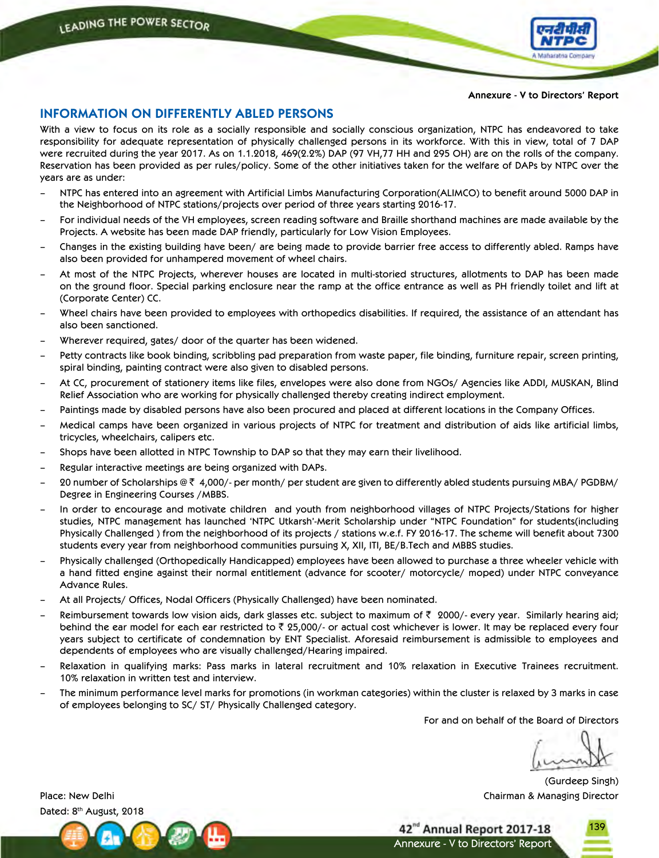

**Annexure - V to Directors' Report**

# **INFORMATION ON DIFFERENTLY ABLED PERSONS**

With a view to focus on its role as a socially responsible and socially conscious organization, NTPC has endeavored to take responsibility for adequate representation of physically challenged persons in its workforce. With this in view, total of 7 DAP were recruited during the year 2017. As on 1.1.2018, 469(2.2%) DAP (97 VH,77 HH and 295 OH) are on the rolls of the company. Reservation has been provided as per rules/policy. Some of the other initiatives taken for the welfare of DAPs by NTPC over the years are as under:

- NTPC has entered into an agreement with Artificial Limbs Manufacturing Corporation(ALIMCO) to benefit around 5000 DAP in the Neighborhood of NTPC stations/projects over period of three years starting 2016-17.
- For individual needs of the VH employees, screen reading software and Braille shorthand machines are made available by the Projects. A website has been made DAP friendly, particularly for Low Vision Employees.
- Changes in the existing building have been/ are being made to provide barrier free access to differently abled. Ramps have also been provided for unhampered movement of wheel chairs.
- At most of the NTPC Projects, wherever houses are located in multi-storied structures, allotments to DAP has been made on the ground floor. Special parking enclosure near the ramp at the office entrance as well as PH friendly toilet and lift at (Corporate Center) CC.
- Wheel chairs have been provided to employees with orthopedics disabilities. If required, the assistance of an attendant has also been sanctioned.
- Wherever required, gates/ door of the quarter has been widened.
- Petty contracts like book binding, scribbling pad preparation from waste paper, file binding, furniture repair, screen printing, spiral binding, painting contract were also given to disabled persons.
- At CC, procurement of stationery items like files, envelopes were also done from NGOs/ Agencies like ADDI, MUSKAN, Blind Relief Association who are working for physically challenged thereby creating indirect employment.
- Paintings made by disabled persons have also been procured and placed at different locations in the Company Offices.
- Medical camps have been organized in various projects of NTPC for treatment and distribution of aids like artificial limbs, tricycles, wheelchairs, calipers etc.
- Shops have been allotted in NTPC Township to DAP so that they may earn their livelihood.
- Regular interactive meetings are being organized with DAPs.
- 20 number of Scholarships @  $\bar{\tau}$  4,000/- per month/ per student are given to differently abled students pursuing MBA/ PGDBM/ Degree in Engineering Courses /MBBS.
- In order to encourage and motivate children and youth from neighborhood villages of NTPC Projects/Stations for higher studies, NTPC management has launched 'NTPC Utkarsh'-Merit Scholarship under "NTPC Foundation" for students(including Physically Challenged ) from the neighborhood of its projects / stations w.e.f. FY 2016-17. The scheme will benefit about 7300 students every year from neighborhood communities pursuing X, XII, ITI, BE/B.Tech and MBBS studies.
- Physically challenged (Orthopedically Handicapped) employees have been allowed to purchase a three wheeler vehicle with a hand fitted engine against their normal entitlement (advance for scooter/ motorcycle/ moped) under NTPC conveyance Advance Rules.
- At all Projects/ Offices, Nodal Officers (Physically Challenged) have been nominated.
- Reimbursement towards low vision aids, dark glasses etc. subject to maximum of  $\bar{\tau}$  2000/- every year. Similarly hearing aid; behind the ear model for each ear restricted to  $\bar{z}$  25,000/- or actual cost whichever is lower. It may be replaced every four years subject to certificate of condemnation by ENT Specialist. Aforesaid reimbursement is admissible to employees and dependents of employees who are visually challenged/Hearing impaired.
- Relaxation in qualifying marks: Pass marks in lateral recruitment and 10% relaxation in Executive Trainees recruitment. 10% relaxation in written test and interview.
- The minimum performance level marks for promotions (in workman categories) within the cluster is relaxed by 3 marks in case of employees belonging to SC/ ST/ Physically Challenged category.

For and on behalf of the Board of Directors

Annexure - V to Directors' Report

42<sup>nd</sup> Annual Report 2017-18

139

(Gurdeep Singh) Place: New DelhiChairman & Managing Director

Dated: 8<sup>th</sup> August, 2018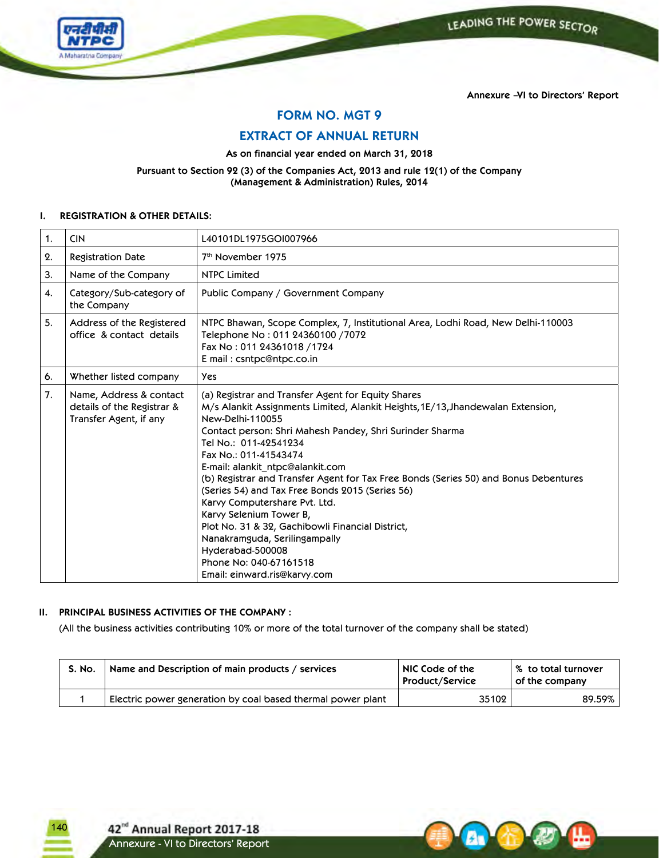



**Annexure –VI to Directors' Report**

**FORM NO. MGT 9**

**EXTRACT OF ANNUAL RETURN**

**As on financial year ended on March 31, 2018**

**Pursuant to Section 92 (3) of the Companies Act, 2013 and rule 12(1) of the Company (Management & Administration) Rules, 2014**

# **I. REGISTRATION & OTHER DETAILS:**

| 1. | <b>CIN</b>                                                                      | L40101DL1975GOI007966                                                                                                                                                                                                                                                                                                                                                                                                                                                                                                                                                                                                                                                                 |
|----|---------------------------------------------------------------------------------|---------------------------------------------------------------------------------------------------------------------------------------------------------------------------------------------------------------------------------------------------------------------------------------------------------------------------------------------------------------------------------------------------------------------------------------------------------------------------------------------------------------------------------------------------------------------------------------------------------------------------------------------------------------------------------------|
| 2. | <b>Registration Date</b>                                                        | 7 <sup>th</sup> November 1975                                                                                                                                                                                                                                                                                                                                                                                                                                                                                                                                                                                                                                                         |
| 3. | Name of the Company                                                             | <b>NTPC Limited</b>                                                                                                                                                                                                                                                                                                                                                                                                                                                                                                                                                                                                                                                                   |
| 4. | Category/Sub-category of<br>the Company                                         | Public Company / Government Company                                                                                                                                                                                                                                                                                                                                                                                                                                                                                                                                                                                                                                                   |
| 5. | Address of the Registered<br>office & contact details                           | NTPC Bhawan, Scope Complex, 7, Institutional Area, Lodhi Road, New Delhi-110003<br>Telephone No: 011 24360100 / 7072<br>Fax No: 011 24361018 / 1724<br>E mail: csntpc@ntpc.co.in                                                                                                                                                                                                                                                                                                                                                                                                                                                                                                      |
| 6. | Whether listed company                                                          | <b>Yes</b>                                                                                                                                                                                                                                                                                                                                                                                                                                                                                                                                                                                                                                                                            |
| 7. | Name, Address & contact<br>details of the Registrar &<br>Transfer Agent, if any | (a) Registrar and Transfer Agent for Equity Shares<br>M/s Alankit Assignments Limited, Alankit Heights, 1E/13, Jhandewalan Extension,<br>New-Delhi-110055<br>Contact person: Shri Mahesh Pandey, Shri Surinder Sharma<br>Tel No.: 011-42541234<br>Fax No.: 011-41543474<br>E-mail: alankit ntpc@alankit.com<br>(b) Registrar and Transfer Agent for Tax Free Bonds (Series 50) and Bonus Debentures<br>(Series 54) and Tax Free Bonds 2015 (Series 56)<br>Karvy Computershare Pvt. Ltd.<br>Karvy Selenium Tower B,<br>Plot No. 31 & 32, Gachibowli Financial District,<br>Nanakramguda, Serilingampally<br>Hyderabad-500008<br>Phone No: 040-67161518<br>Email: einward.ris@karvy.com |

# **II. PRINCIPAL BUSINESS ACTIVITIES OF THE COMPANY :**

(All the business activities contributing 10% or more of the total turnover of the company shall be stated)

| <b>S. No.</b> | Name and Description of main products / services            | NIC Code of the<br><b>Product/Service</b> | ∣% to total turnover<br>of the company |
|---------------|-------------------------------------------------------------|-------------------------------------------|----------------------------------------|
|               | Electric power generation by coal based thermal power plant | 35102                                     | 89.59%                                 |

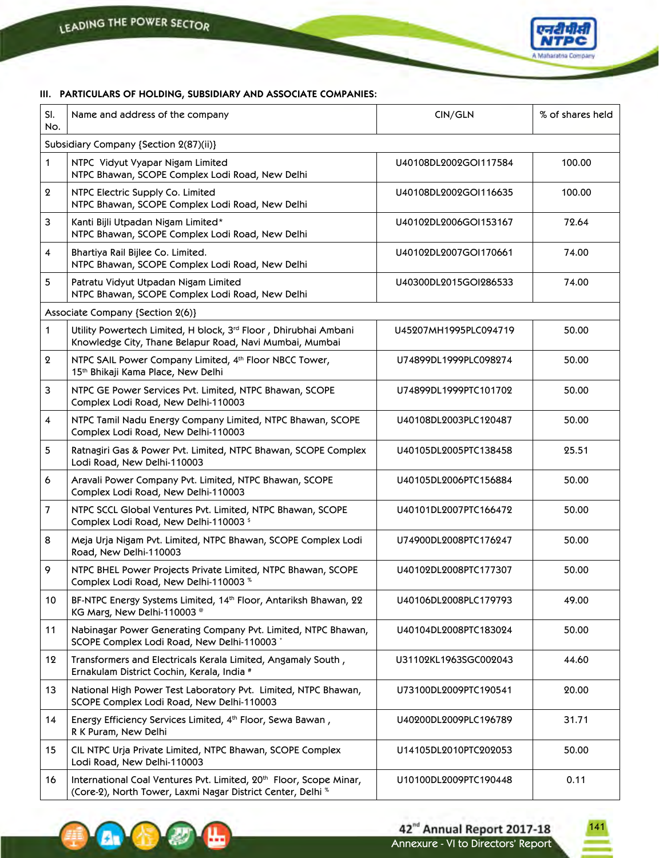

# **III. PARTICULARS OF HOLDING, SUBSIDIARY AND ASSOCIATE COMPANIES:**

| SI.<br>No.                             | Name and address of the company                                                                                                                          | CIN/GLN               | % of shares held |  |  |  |  |
|----------------------------------------|----------------------------------------------------------------------------------------------------------------------------------------------------------|-----------------------|------------------|--|--|--|--|
| Subsidiary Company {Section 2(87)(ii)} |                                                                                                                                                          |                       |                  |  |  |  |  |
| 1                                      | NTPC Vidyut Vyapar Nigam Limited<br>NTPC Bhawan, SCOPE Complex Lodi Road, New Delhi                                                                      | U40108DL2002GOI117584 | 100.00           |  |  |  |  |
| $\boldsymbol{2}$                       | NTPC Electric Supply Co. Limited<br>NTPC Bhawan, SCOPE Complex Lodi Road, New Delhi                                                                      | U40108DL2002GOI116635 | 100.00           |  |  |  |  |
| 3                                      | Kanti Bijli Utpadan Nigam Limited*<br>NTPC Bhawan, SCOPE Complex Lodi Road, New Delhi                                                                    | U40102DL2006GOI153167 | 72.64            |  |  |  |  |
| $\overline{4}$                         | Bhartiya Rail Bijlee Co. Limited.<br>NTPC Bhawan, SCOPE Complex Lodi Road, New Delhi                                                                     | U40102DL2007GOI170661 | 74.00            |  |  |  |  |
| 5                                      | Patratu Vidyut Utpadan Nigam Limited<br>NTPC Bhawan, SCOPE Complex Lodi Road, New Delhi                                                                  | U40300DL2015GOI286533 | 74.00            |  |  |  |  |
|                                        | Associate Company {Section 2(6)}                                                                                                                         |                       |                  |  |  |  |  |
| 1                                      | Utility Powertech Limited, H block, 3rd Floor, Dhirubhai Ambani<br>Knowledge City, Thane Belapur Road, Navi Mumbai, Mumbai                               | U45207MH1995PLC094719 | 50.00            |  |  |  |  |
| $\boldsymbol{2}$                       | NTPC SAIL Power Company Limited, 4th Floor NBCC Tower,<br>15 <sup>th</sup> Bhikaji Kama Place, New Delhi                                                 | U74899DL1999PLC098274 | 50.00            |  |  |  |  |
| 3                                      | NTPC GE Power Services Pvt. Limited, NTPC Bhawan, SCOPE<br>Complex Lodi Road, New Delhi-110003                                                           | U74899DL1999PTC101702 | 50.00            |  |  |  |  |
| $\overline{4}$                         | NTPC Tamil Nadu Energy Company Limited, NTPC Bhawan, SCOPE<br>Complex Lodi Road, New Delhi-110003                                                        | U40108DL2003PLC120487 | 50.00            |  |  |  |  |
| 5                                      | Ratnagiri Gas & Power Pvt. Limited, NTPC Bhawan, SCOPE Complex<br>Lodi Road, New Delhi-110003                                                            | U40105DL2005PTC138458 | 25.51            |  |  |  |  |
| 6                                      | Aravali Power Company Pvt. Limited, NTPC Bhawan, SCOPE<br>Complex Lodi Road, New Delhi-110003                                                            | U40105DL2006PTC156884 | 50.00            |  |  |  |  |
| 7                                      | NTPC SCCL Global Ventures Pvt. Limited, NTPC Bhawan, SCOPE<br>Complex Lodi Road, New Delhi-110003 \$                                                     | U40101DL2007PTC166472 | 50.00            |  |  |  |  |
| 8                                      | Meja Urja Nigam Pvt. Limited, NTPC Bhawan, SCOPE Complex Lodi<br>Road, New Delhi-110003                                                                  | U74900DL2008PTC176247 | 50.00            |  |  |  |  |
| 9                                      | NTPC BHEL Power Projects Private Limited, NTPC Bhawan, SCOPE<br>Complex Lodi Road, New Delhi-110003 %                                                    | U40102DL2008PTC177307 | 50.00            |  |  |  |  |
| 10 <sup>°</sup>                        | BF-NTPC Energy Systems Limited, 14th Floor, Antariksh Bhawan, 22<br>KG Marg, New Delhi-110003 <sup>®</sup>                                               | U40106DL2008PLC179793 | 49.00            |  |  |  |  |
| 11                                     | Nabinagar Power Generating Company Pvt. Limited, NTPC Bhawan,<br>SCOPE Complex Lodi Road, New Delhi-110003                                               | U40104DL2008PTC183024 | 50.00            |  |  |  |  |
| 12                                     | Transformers and Electricals Kerala Limited, Angamaly South,<br>Ernakulam District Cochin, Kerala, India #                                               | U31102KL1963SGC002043 | 44.60            |  |  |  |  |
| 13                                     | National High Power Test Laboratory Pvt. Limited, NTPC Bhawan,<br>SCOPE Complex Lodi Road, New Delhi-110003                                              | U73100DL2009PTC190541 | 20.00            |  |  |  |  |
| 14                                     | Energy Efficiency Services Limited, 4th Floor, Sewa Bawan,<br>R K Puram, New Delhi                                                                       | U40200DL2009PLC196789 | 31.71            |  |  |  |  |
| 15                                     | CIL NTPC Urja Private Limited, NTPC Bhawan, SCOPE Complex<br>Lodi Road, New Delhi-110003                                                                 | U14105DL2010PTC202053 | 50.00            |  |  |  |  |
| 16                                     | International Coal Ventures Pvt. Limited, 20 <sup>th</sup> Floor, Scope Minar,<br>(Core-2), North Tower, Laxmi Nagar District Center, Delhi <sup>%</sup> | U10100DL2009PTC190448 | 0.11             |  |  |  |  |

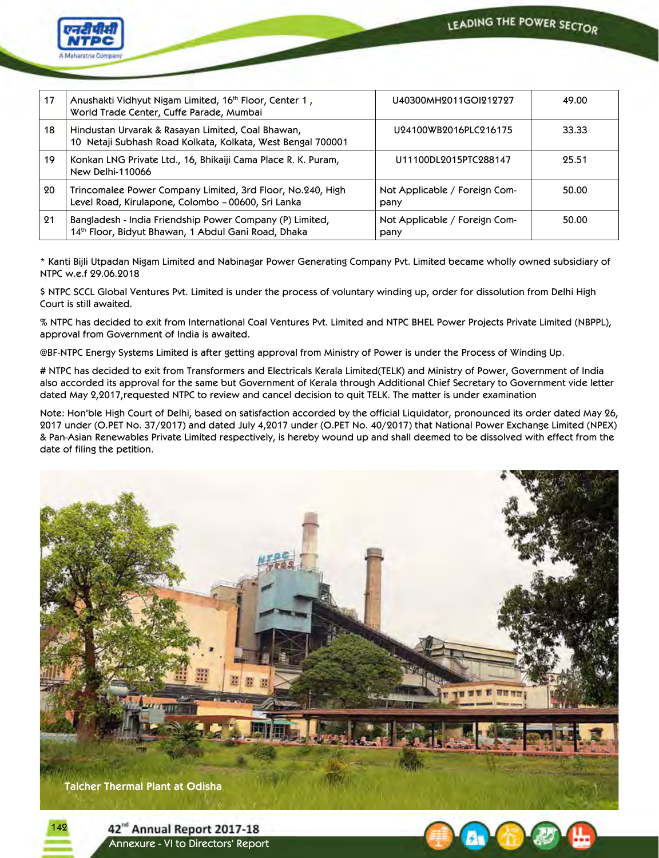



| 17 | Anushakti Vidhyut Nigam Limited, 16th Floor, Center 1,<br>World Trade Center, Cuffe Parade, Mumbai               | U40300MH2011GOI212727                 | 49.00 |
|----|------------------------------------------------------------------------------------------------------------------|---------------------------------------|-------|
| 18 | Hindustan Urvarak & Rasayan Limited, Coal Bhawan,<br>10 Netaji Subhash Road Kolkata, Kolkata, West Bengal 700001 | U24100WB2016PLC216175                 | 33.33 |
| 19 | Konkan LNG Private Ltd., 16, Bhikaiji Cama Place R. K. Puram,<br>New Delhi-110066                                | U11100DL2015PTC288147                 | 95.51 |
| 20 | Trincomalee Power Company Limited, 3rd Floor, No.240, High<br>Level Road, Kirulapone, Colombo – 00600, Sri Lanka | Not Applicable / Foreign Com-<br>pany | 50.00 |
| 91 | Bangladesh - India Friendship Power Company (P) Limited,<br>14th Floor, Bidyut Bhawan, 1 Abdul Gani Road, Dhaka  | Not Applicable / Foreign Com-<br>pany | 50.00 |

\* Kanti Bijli Utpadan Nigam Limited and Nabinagar Power Generating Company Pvt. Limited became wholly owned subsidiary of NTPC w.e.f 29.06.2018

\$ NTPC SCCL Global Ventures Pvt. Limited is under the process of voluntary winding up, order for dissolution from Delhi High Court is still awaited.

% NTPC has decided to exit from International Coal Ventures Pvt. Limited and NTPC BHEL Power Projects Private Limited (NBPPL), approval from Government of India is awaited.

@BF-NTPC Energy Systems Limited is after getting approval from Ministry of Power is under the Process of Winding Up.

# NTPC has decided to exit from Transformers and Electricals Kerala Limited(TELK) and Ministry of Power, Government of India also accorded its approval for the same but Government of Kerala through Additional Chief Secretary to Government vide letter dated May 2,2017,requested NTPC to review and cancel decision to quit TELK. The matter is under examination

Note: Hon'ble High Court of Delhi, based on satisfaction accorded by the official Liquidator, pronounced its order dated May 26, 2017 under (O.PET No. 37/2017) and dated July 4,2017 under (O.PET No. 40/2017) that National Power Exchange Limited (NPEX) & Pan-Asian Renewables Private Limited respectively, is hereby wound up and shall deemed to be dissolved with effect from the date of filing the petition.



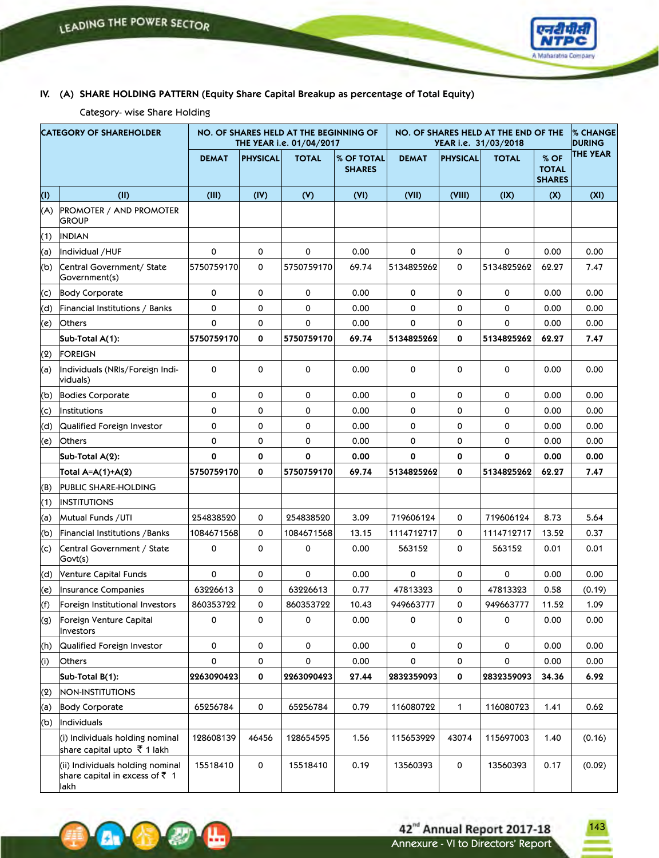

# **IV. (A) SHARE HOLDING PATTERN (Equity Share Capital Breakup as percentage of Total Equity)**

Category- wise Share Holding

 $\mathbf{A}$ 

| <b>CATEGORY OF SHAREHOLDER</b> |                                                                                     |                     |                     | NO. OF SHARES HELD AT THE BEGINNING OF<br>THE YEAR i.e. 01/04/2017 |                             | NO. OF SHARES HELD AT THE END OF THE<br>YEAR i.e. 31/03/2018 |                 |              | <b>% CHANGE</b><br><b>DURING</b>      |                 |
|--------------------------------|-------------------------------------------------------------------------------------|---------------------|---------------------|--------------------------------------------------------------------|-----------------------------|--------------------------------------------------------------|-----------------|--------------|---------------------------------------|-----------------|
|                                |                                                                                     | <b>DEMAT</b>        | <b>PHYSICAL</b>     | <b>TOTAL</b>                                                       | % OF TOTAL<br><b>SHARES</b> | <b>DEMAT</b>                                                 | <b>PHYSICAL</b> | <b>TOTAL</b> | % OF<br><b>TOTAL</b><br><b>SHARES</b> | <b>THE YEAR</b> |
| (1)                            | (II)                                                                                | (III)               | (IV)                | (V)                                                                | (VI)                        | (VII)                                                        | (VIII)          | (IX)         | (X)                                   | (XI)            |
| (A)                            | <b>PROMOTER / AND PROMOTER</b><br><b>GROUP</b>                                      |                     |                     |                                                                    |                             |                                                              |                 |              |                                       |                 |
| (1)                            | <b>INDIAN</b>                                                                       |                     |                     |                                                                    |                             |                                                              |                 |              |                                       |                 |
| (a)                            | Individual /HUF                                                                     | 0                   | 0                   | 0                                                                  | 0.00                        | 0                                                            | 0               | 0            | 0.00                                  | 0.00            |
| (b)                            | Central Government/ State<br>Government(s)                                          | 5750759170          | $\mathbf 0$         | 5750759170                                                         | 69.74                       | 5134825262                                                   | 0               | 5134825262   | 62.27                                 | 7.47            |
| (c)                            | <b>Body Corporate</b>                                                               | 0                   | 0                   | 0                                                                  | 0.00                        | 0                                                            | 0               | 0            | 0.00                                  | 0.00            |
| (d)                            | Financial Institutions / Banks                                                      | 0                   | 0                   | 0                                                                  | 0.00                        | 0                                                            | 0               | 0            | 0.00                                  | 0.00            |
| (e)                            | <b>Others</b>                                                                       | 0                   | 0                   | 0                                                                  | 0.00                        | 0                                                            | 0               | 0            | 0.00                                  | 0.00            |
|                                | Sub-Total A(1):                                                                     | 5750759170          | 0                   | 5750759170                                                         | 69.74                       | 5134825262                                                   | 0               | 5134825262   | 62.27                                 | 7.47            |
| (2)                            | <b>FOREIGN</b>                                                                      |                     |                     |                                                                    |                             |                                                              |                 |              |                                       |                 |
| (a)                            | Individuals (NRIs/Foreign Indi-<br>viduals)                                         | 0                   | $\mathbf 0$         | 0                                                                  | 0.00                        | 0                                                            | 0               | 0            | 0.00                                  | 0.00            |
| (b)                            | <b>Bodies Corporate</b>                                                             | 0                   | 0                   | 0                                                                  | 0.00                        | 0                                                            | 0               | 0            | 0.00                                  | 0.00            |
| (c)                            | <b>Institutions</b>                                                                 | $\mathbf 0$         | 0                   | 0                                                                  | 0.00                        | 0                                                            | 0               | 0            | 0.00                                  | 0.00            |
| (d)                            | Qualified Foreign Investor                                                          | 0                   | 0                   | 0                                                                  | 0.00                        | 0                                                            | 0               | 0            | 0.00                                  | 0.00            |
| (e)                            | <b>Others</b>                                                                       | 0                   | 0                   | 0                                                                  | 0.00                        | 0                                                            | 0               | 0            | 0.00                                  | 0.00            |
|                                | Sub-Total A(2):                                                                     | 0                   | 0                   | 0                                                                  | 0.00                        | 0                                                            | 0               | 0            | 0.00                                  | 0.00            |
|                                | Total A=A(1)+A(2)                                                                   | 5750759170          | 0                   | 5750759170                                                         | 69.74                       | 5134825262                                                   | 0               | 5134825262   | 62.27                                 | 7.47            |
| (B)                            | PUBLIC SHARE-HOLDING                                                                |                     |                     |                                                                    |                             |                                                              |                 |              |                                       |                 |
| (1)                            | <b>INSTITUTIONS</b>                                                                 |                     |                     |                                                                    |                             |                                                              |                 |              |                                       |                 |
| (a)                            | Mutual Funds / UTI                                                                  | 254838520           | 0                   | 254838520                                                          | 3.09                        | 719606124                                                    | 0               | 719606124    | 8.73                                  | 5.64            |
| (b)                            | Financial Institutions / Banks                                                      | 1084671568          | 0                   | 1084671568                                                         | 13.15                       | 1114712717                                                   | 0               | 1114712717   | 13.52                                 | 0.37            |
| (c)                            | Central Government / State<br>Govt(s)                                               | 0                   | 0                   | 0                                                                  | 0.00                        | 563152                                                       | 0               | 563152       | 0.01                                  | 0.01            |
| (d)                            | Venture Capital Funds                                                               | 0                   | 0                   | 0                                                                  | 0.00                        | 0                                                            | 0               | 0            | 0.00                                  | 0.00            |
| (e)                            | Insurance Companies                                                                 | 63226613            | 0                   | 63226613                                                           | 0.77                        | 47813323                                                     | 0               | 47813323     | 0.58                                  | (0.19)          |
| (f)                            | Foreign Institutional Investors                                                     | 860353722           | 0                   | 860353722                                                          | 10.43                       | 949663777                                                    | 0               | 949663777    | 11.52                                 | 1.09            |
| (g)                            | Foreign Venture Capital<br>Investors                                                | 0                   | 0                   | 0                                                                  | 0.00                        | 0                                                            | 0               | 0            | 0.00                                  | 0.00            |
| (h)                            | Qualified Foreign Investor                                                          | $\mathsf{o}\xspace$ | 0                   | 0                                                                  | 0.00                        | 0                                                            | 0               | 0            | 0.00                                  | 0.00            |
| (i)                            | <b>Others</b>                                                                       | 0                   | 0                   | 0                                                                  | 0.00                        | 0                                                            | 0               | 0            | 0.00                                  | 0.00            |
|                                | Sub-Total B(1):                                                                     | 2263090423          | $\mathbf 0$         | 2263090423                                                         | 27.44                       | 2832359093                                                   | $\mathbf 0$     | 2832359093   | 34.36                                 | 6.92            |
| (2)                            | NON-INSTITUTIONS                                                                    |                     |                     |                                                                    |                             |                                                              |                 |              |                                       |                 |
| (a)                            | <b>Body Corporate</b>                                                               | 65256784            | 0                   | 65256784                                                           | 0.79                        | 116080722                                                    | 1               | 116080723    | 1.41                                  | 0.62            |
| (b)                            | Individuals                                                                         |                     |                     |                                                                    |                             |                                                              |                 |              |                                       |                 |
|                                | (i) Individuals holding nominal<br>share capital upto ₹ 1 lakh                      | 128608139           | 46456               | 128654595                                                          | 1.56                        | 115653929                                                    | 43074           | 115697003    | 1.40                                  | (0.16)          |
|                                | (ii) Individuals holding nominal<br>share capital in excess of $\bar{z}$ 1<br>llakh | 15518410            | $\mathsf{o}\xspace$ | 15518410                                                           | 0.19                        | 13560393                                                     | 0               | 13560393     | 0.17                                  | (0.02)          |

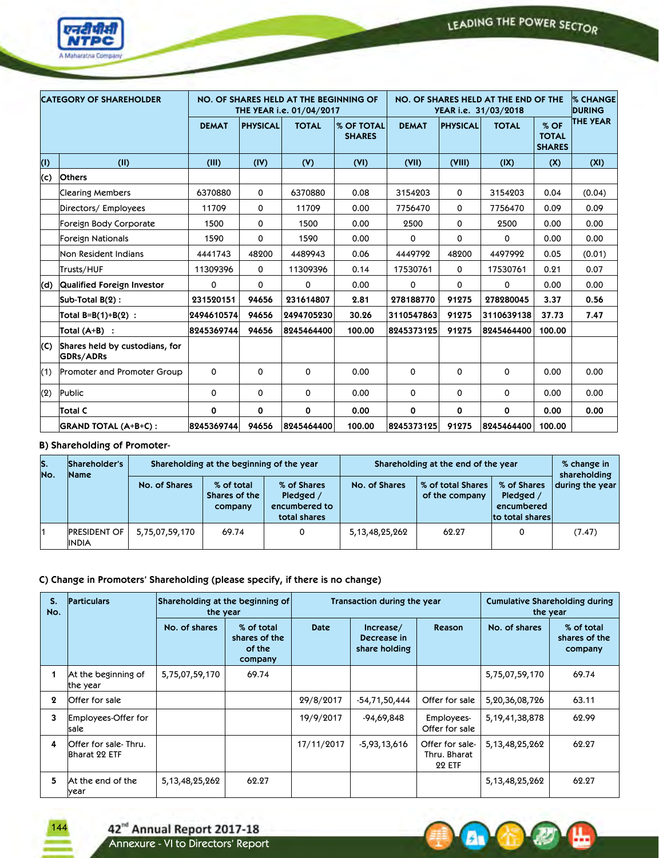

|     | <b>CATEGORY OF SHAREHOLDER</b>              |              |                 | NO. OF SHARES HELD AT THE BEGINNING OF<br>THE YEAR i.e. 01/04/2017 |                             |              |                 | NO. OF SHARES HELD AT THE END OF THE<br>YEAR i.e. 31/03/2018 |                                       | <b>% CHANGE</b><br><b>DURING</b> |
|-----|---------------------------------------------|--------------|-----------------|--------------------------------------------------------------------|-----------------------------|--------------|-----------------|--------------------------------------------------------------|---------------------------------------|----------------------------------|
|     |                                             | <b>DEMAT</b> | <b>PHYSICAL</b> | <b>TOTAL</b>                                                       | % OF TOTAL<br><b>SHARES</b> | <b>DEMAT</b> | <b>PHYSICAL</b> | <b>TOTAL</b>                                                 | % OF<br><b>TOTAL</b><br><b>SHARES</b> | <b>THE YEAR</b>                  |
| (1) | (II)                                        | (III)        | (IV)            | (V)                                                                | (VI)                        | (VII)        | (VIII)          | (IX)                                                         | (X)                                   | (XI)                             |
| (c) | <b>Others</b>                               |              |                 |                                                                    |                             |              |                 |                                                              |                                       |                                  |
|     | Clearing Members                            | 6370880      | $\mathbf 0$     | 6370880                                                            | 0.08                        | 3154203      | 0               | 3154203                                                      | 0.04                                  | (0.04)                           |
|     | Directors/ Employees                        | 11709        | 0               | 11709                                                              | 0.00                        | 7756470      | 0               | 7756470                                                      | 0.09                                  | 0.09                             |
|     | Foreign Body Corporate                      | 1500         | 0               | 1500                                                               | 0.00                        | 2500         | 0               | 2500                                                         | 0.00                                  | 0.00                             |
|     | Foreign Nationals                           | 1590         | 0               | 1590                                                               | 0.00                        | 0            | 0               | 0                                                            | 0.00                                  | 0.00                             |
|     | Non Resident Indians                        | 4441743      | 48200           | 4489943                                                            | 0.06                        | 4449792      | 48200           | 4497992                                                      | 0.05                                  | (0.01)                           |
|     | Trusts/HUF                                  | 11309396     | $\mathbf 0$     | 11309396                                                           | 0.14                        | 17530761     | 0               | 17530761                                                     | 0.21                                  | 0.07                             |
| (d) | Qualified Foreign Investor                  | 0            | 0               | $\mathbf 0$                                                        | 0.00                        | 0            | 0               | 0                                                            | 0.00                                  | 0.00                             |
|     | Sub-Total B(2):                             | 231520151    | 94656           | 231614807                                                          | 2.81                        | 278188770    | 91275           | 278280045                                                    | 3.37                                  | 0.56                             |
|     | Total B=B(1)+B(2) :                         | 2494610574   | 94656           | 2494705230                                                         | 30.26                       | 3110547863   | 91275           | 3110639138                                                   | 37.73                                 | 7.47                             |
|     | $\overline{\text{Total (A+B)}}$ :           | 8245369744   | 94656           | 8245464400                                                         | 100.00                      | 8245373125   | 91275           | 8245464400                                                   | 100.00                                |                                  |
| (C) | Shares held by custodians, for<br>GDRs/ADRs |              |                 |                                                                    |                             |              |                 |                                                              |                                       |                                  |
| (1) | Promoter and Promoter Group                 | 0            | 0               | 0                                                                  | 0.00                        | 0            | 0               | $\mathbf 0$                                                  | 0.00                                  | 0.00                             |
| (2) | Public                                      | 0            | 0               | 0                                                                  | 0.00                        | 0            | 0               | 0                                                            | 0.00                                  | 0.00                             |
|     | Total C                                     | 0            | 0               | 0                                                                  | 0.00                        | 0            | 0               | 0                                                            | 0.00                                  | 0.00                             |
|     | <b>GRAND TOTAL (A+B+C):</b>                 | 8245369744   | 94656           | 8245464400                                                         | 100.00                      | 8245373125   | 91275           | 8245464400                                                   | 100.00                                |                                  |

# **B) Shareholding of Promoter-**

| lS.<br>No. | Shareholder's<br><b>Name</b>        |                | Shareholding at the beginning of the year |                                                           |                    | Shareholding at the end of the year |                                                           | % change in<br>shareholding |
|------------|-------------------------------------|----------------|-------------------------------------------|-----------------------------------------------------------|--------------------|-------------------------------------|-----------------------------------------------------------|-----------------------------|
|            |                                     | No. of Shares  | % of total<br>Shares of the<br>company    | % of Shares<br>Pledged /<br>encumbered to<br>total shares | No. of Shares      | % of total Shares<br>of the company | % of Shares<br>Pledged /<br>encumbered<br>to total shares | during the year             |
| 11         | <b>PRESIDENT OF</b><br><b>INDIA</b> | 5,75,07,59,170 | 69.74                                     | 0                                                         | 5, 13, 48, 25, 262 | 62.27                               |                                                           | (7.47)                      |

# **C) Change in Promoters' Shareholding (please specify, if there is no change)**

| S.<br>No. | <b>Particulars</b>                    | Shareholding at the beginning of<br>the year |                                                  |             | Transaction during the year               |                                                  |                    | <b>Cumulative Shareholding during</b><br>the year |
|-----------|---------------------------------------|----------------------------------------------|--------------------------------------------------|-------------|-------------------------------------------|--------------------------------------------------|--------------------|---------------------------------------------------|
|           |                                       | No. of shares                                | % of total<br>shares of the<br>of the<br>company | <b>Date</b> | Increase/<br>Decrease in<br>share holding | <b>Reason</b>                                    | No. of shares      | % of total<br>shares of the<br>company            |
|           | At the beginning of<br>the year       | 5,75,07,59,170                               | 69.74                                            |             |                                           |                                                  | 5,75,07,59,170     | 69.74                                             |
| 2         | Offer for sale                        |                                              |                                                  | 29/8/2017   | -54,71,50,444                             | Offer for sale                                   | 5,20,36,08,726     | 63.11                                             |
| 3         | Employees-Offer for<br>sale           |                                              |                                                  | 19/9/2017   | -94,69,848                                | Employees-<br>Offer for sale                     | 5, 19, 41, 38, 878 | 62.99                                             |
| 4         | Offer for sale-Thru.<br>Bharat 22 ETF |                                              |                                                  | 17/11/2017  | $-5,93,13,616$                            | Offer for sale-<br>Thru. Bharat<br><b>22 ETF</b> | 5, 13, 48, 25, 262 | 62.27                                             |
| 5         | At the end of the<br>year             | 5, 13, 48, 25, 262                           | 62.27                                            |             |                                           |                                                  | 5, 13, 48, 25, 262 | 62.27                                             |

**A**<sup>V</sup>



42<sup>nd</sup> Annual Report 2017-18<br>Annexure - VI to Directors' Report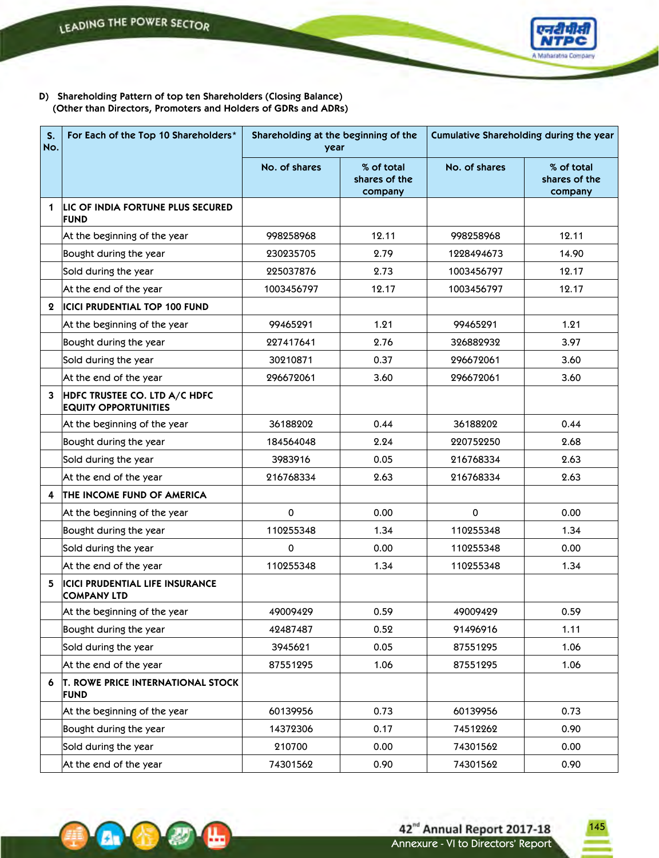**Av (1)** 



**D) Shareholding Pattern of top ten Shareholders (Closing Balance) (Other than Directors, Promoters and Holders of GDRs and ADRs)**

| S.<br>No.   | For Each of the Top 10 Shareholders*                         | Shareholding at the beginning of the<br>year |                                        | Cumulative Shareholding during the year |                                        |  |
|-------------|--------------------------------------------------------------|----------------------------------------------|----------------------------------------|-----------------------------------------|----------------------------------------|--|
|             |                                                              | No. of shares                                | % of total<br>shares of the<br>company | No. of shares                           | % of total<br>shares of the<br>company |  |
| 1           | LIC OF INDIA FORTUNE PLUS SECURED<br><b>FUND</b>             |                                              |                                        |                                         |                                        |  |
|             | At the beginning of the year                                 | 998258968                                    | 12.11                                  | 998258968                               | 12.11                                  |  |
|             | Bought during the year                                       | 230235705                                    | 2.79                                   | 1228494673                              | 14.90                                  |  |
|             | Sold during the year                                         | 225037876                                    | 2.73                                   | 1003456797                              | 12.17                                  |  |
|             | At the end of the year                                       | 1003456797                                   | 12.17                                  | 1003456797                              | 12.17                                  |  |
| $\mathbf 2$ | <b>ICICI PRUDENTIAL TOP 100 FUND</b>                         |                                              |                                        |                                         |                                        |  |
|             | At the beginning of the year                                 | 99465291                                     | 1.21                                   | 99465291                                | 1.21                                   |  |
|             | Bought during the year                                       | 227417641                                    | 2.76                                   | 326882932                               | 3.97                                   |  |
|             | Sold during the year                                         | 30210871                                     | 0.37                                   | 296672061                               | 3.60                                   |  |
|             | At the end of the year                                       | 296672061                                    | 3.60                                   | 296672061                               | 3.60                                   |  |
| 3           | HDFC TRUSTEE CO. LTD A/C HDFC<br><b>EQUITY OPPORTUNITIES</b> |                                              |                                        |                                         |                                        |  |
|             | At the beginning of the year                                 | 36188202                                     | 0.44                                   | 36188202                                | 0.44                                   |  |
|             | Bought during the year                                       | 184564048                                    | 2.24                                   | 220752250                               | 2.68                                   |  |
|             | Sold during the year                                         | 3983916                                      | 0.05                                   | 216768334                               | 2.63                                   |  |
|             | At the end of the year                                       | 216768334                                    | 2.63                                   | 216768334                               | 2.63                                   |  |
| 4           | <b>THE INCOME FUND OF AMERICA</b>                            |                                              |                                        |                                         |                                        |  |
|             | At the beginning of the year                                 | 0                                            | 0.00                                   | 0                                       | 0.00                                   |  |
|             | Bought during the year                                       | 110255348                                    | 1.34                                   | 110255348                               | 1.34                                   |  |
|             | Sold during the year                                         | 0                                            | 0.00                                   | 110255348                               | 0.00                                   |  |
|             | At the end of the year                                       | 110255348                                    | 1.34                                   | 110255348                               | 1.34                                   |  |
| 5           | <b>ICICI PRUDENTIAL LIFE INSURANCE</b><br><b>COMPANY LTD</b> |                                              |                                        |                                         |                                        |  |
|             | At the beginning of the year                                 | 49009429                                     | 0.59                                   | 49009429                                | 0.59                                   |  |
|             | Bought during the year                                       | 42487487                                     | 0.52                                   | 91496916                                | 1.11                                   |  |
|             | Sold during the year                                         | 3945621                                      | 0.05                                   | 87551295                                | 1.06                                   |  |
|             | At the end of the year                                       | 87551295                                     | 1.06                                   | 87551295                                | 1.06                                   |  |
| 6           | <b>T. ROWE PRICE INTERNATIONAL STOCK</b><br><b>FUND</b>      |                                              |                                        |                                         |                                        |  |
|             | At the beginning of the year                                 | 60139956                                     | 0.73                                   | 60139956                                | 0.73                                   |  |
|             | Bought during the year                                       | 14372306                                     | 0.17                                   | 74512262                                | 0.90                                   |  |
|             | Sold during the year                                         | 210700                                       | 0.00                                   | 74301562                                | 0.00                                   |  |
|             | At the end of the year                                       | 74301562                                     | 0.90                                   | 74301562                                | 0.90                                   |  |

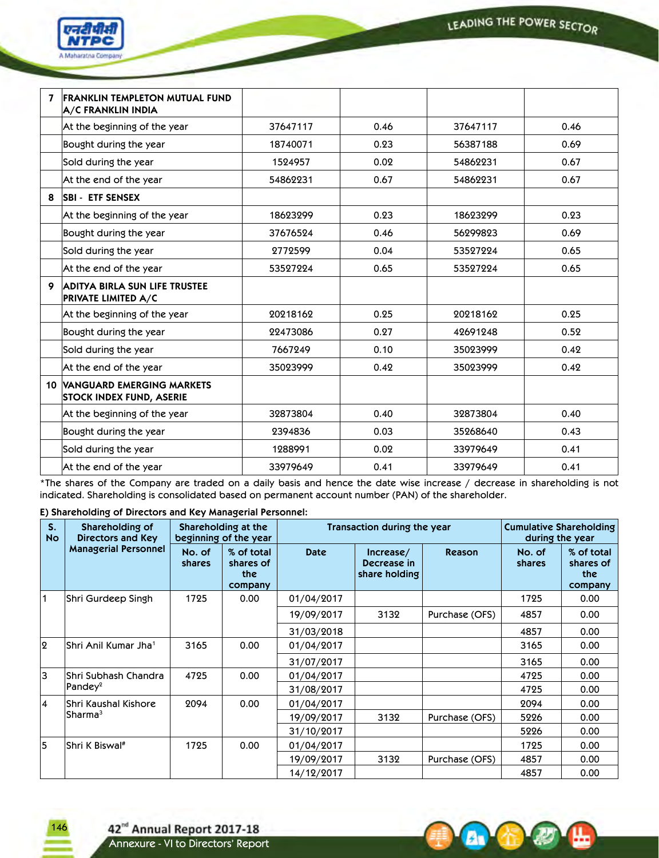A G

**POST** 



| 7 | <b>FRANKLIN TEMPLETON MUTUAL FUND</b><br><b>A/C FRANKLIN INDIA</b>     |          |      |          |      |
|---|------------------------------------------------------------------------|----------|------|----------|------|
|   | At the beginning of the year                                           | 37647117 | 0.46 | 37647117 | 0.46 |
|   | Bought during the year                                                 | 18740071 | 0.23 | 56387188 | 0.69 |
|   | Sold during the year                                                   | 1524957  | 0.02 | 54862231 | 0.67 |
|   | At the end of the year                                                 | 54862231 | 0.67 | 54862231 | 0.67 |
| 8 | <b>SBI - ETF SENSEX</b>                                                |          |      |          |      |
|   | At the beginning of the year                                           | 18623299 | 0.23 | 18623299 | 0.23 |
|   | Bought during the year                                                 | 37676524 | 0.46 | 56299823 | 0.69 |
|   | Sold during the year                                                   | 2772599  | 0.04 | 53527224 | 0.65 |
|   | At the end of the year                                                 | 53527224 | 0.65 | 53527224 | 0.65 |
| 9 | <b>ADITYA BIRLA SUN LIFE TRUSTEE</b><br><b>PRIVATE LIMITED A/C</b>     |          |      |          |      |
|   | At the beginning of the year                                           | 20218162 | 0.25 | 20218162 | 0.25 |
|   | Bought during the year                                                 | 22473086 | 0.27 | 42691248 | 0.52 |
|   | Sold during the year                                                   | 7667249  | 0.10 | 35023999 | 0.42 |
|   | At the end of the year                                                 | 35023999 | 0.42 | 35023999 | 0.42 |
|   | <b>10 VANGUARD EMERGING MARKETS</b><br><b>STOCK INDEX FUND, ASERIE</b> |          |      |          |      |
|   | At the beginning of the year                                           | 32873804 | 0.40 | 32873804 | 0.40 |
|   | Bought during the year                                                 | 2394836  | 0.03 | 35268640 | 0.43 |
|   | Sold during the year                                                   | 1288991  | 0.02 | 33979649 | 0.41 |
|   | At the end of the year                                                 | 33979649 | 0.41 | 33979649 | 0.41 |

\*The shares of the Company are traded on a daily basis and hence the date wise increase / decrease in shareholding is not indicated. Shareholding is consolidated based on permanent account number (PAN) of the shareholder.

**E) Shareholding of Directors and Key Managerial Personnel:**

| $S_{1}$<br><b>No</b> | Shareholding of<br><b>Directors and Key</b> |                  | Shareholding at the<br>beginning of the year |             | Transaction during the year               |                | <b>Cumulative Shareholding</b><br>during the year |                                           |
|----------------------|---------------------------------------------|------------------|----------------------------------------------|-------------|-------------------------------------------|----------------|---------------------------------------------------|-------------------------------------------|
|                      | <b>Managerial Personnel</b>                 | No. of<br>shares | % of total<br>shares of<br>the<br>company    | <b>Date</b> | Increase/<br>Decrease in<br>share holding | <b>Reason</b>  | No. of<br>shares                                  | % of total<br>shares of<br>the<br>company |
| 1                    | Shri Gurdeep Singh                          | 1725             | 0.00                                         | 01/04/2017  |                                           |                | 1725                                              | 0.00                                      |
|                      |                                             |                  |                                              | 19/09/2017  | 3132                                      | Purchase (OFS) | 4857                                              | 0.00                                      |
|                      |                                             |                  |                                              | 31/03/2018  |                                           |                | 4857                                              | 0.00                                      |
| 2                    | İShri Anil Kumar Jha <sup>1</sup>           | 3165             | 0.00                                         | 01/04/2017  |                                           |                | 3165                                              | 0.00 <sub>1</sub>                         |
|                      |                                             |                  |                                              | 31/07/2017  |                                           |                | 3165                                              | 0.00 <sub>1</sub>                         |
| Ιз                   | Shri Subhash Chandra                        | 4725             | 0.00                                         | 01/04/2017  |                                           |                | 4725                                              | 0.00                                      |
|                      | Pandey <sup>2</sup>                         |                  |                                              | 31/08/2017  |                                           |                | 4725                                              | 0.00 <sub>1</sub>                         |
| 4                    | Shri Kaushal Kishore                        | 2094             | 0.00                                         | 01/04/2017  |                                           |                | 2094                                              | 0.00                                      |
|                      | Sharma <sup>3</sup>                         |                  |                                              | 19/09/2017  | 3132                                      | Purchase (OFS) | 5226                                              | 0.00                                      |
|                      |                                             |                  |                                              | 31/10/2017  |                                           |                | 5226                                              | 0.00                                      |
| 5                    | Shri K Biswal#                              | 1725             | 0.00                                         | 01/04/2017  |                                           |                | 1725                                              | 0.00                                      |
|                      |                                             |                  |                                              | 19/09/2017  | 3132                                      | Purchase (OFS) | 4857                                              | 0.00 <sub>1</sub>                         |
|                      |                                             |                  |                                              | 14/12/2017  |                                           |                | 4857                                              | 0.00                                      |

146

42<sup>nd</sup> Annual Report 2017-18<br>Annexure - VI to Directors' Report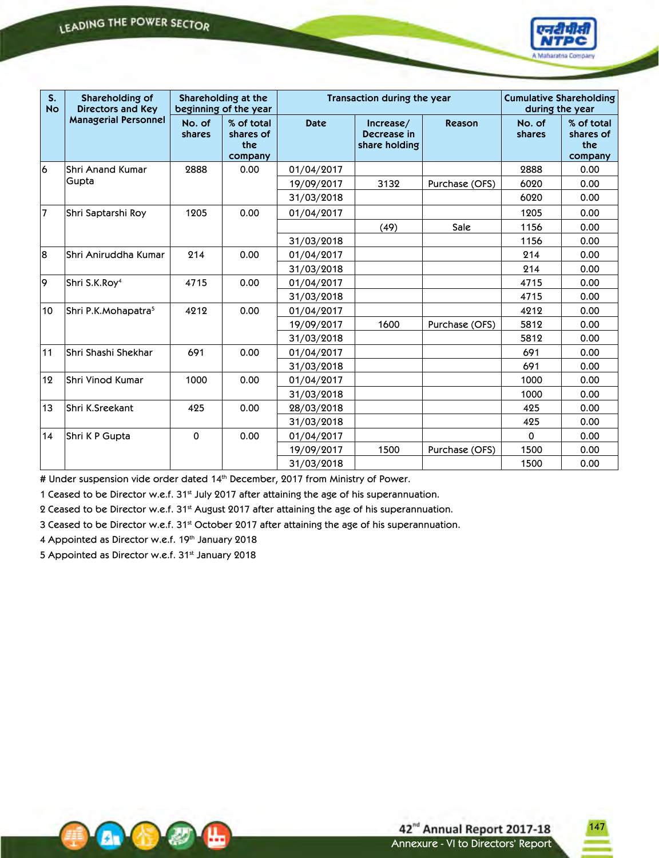

| S <sub>x</sub><br>Shareholding of<br>Shareholding at the<br>Transaction during the year<br><b>No</b><br><b>Directors and Key</b><br>beginning of the year |                                 |                  |                                           |             | <b>Cumulative Shareholding</b><br>during the year |                |                  |                                           |
|-----------------------------------------------------------------------------------------------------------------------------------------------------------|---------------------------------|------------------|-------------------------------------------|-------------|---------------------------------------------------|----------------|------------------|-------------------------------------------|
|                                                                                                                                                           | <b>Managerial Personnel</b>     | No. of<br>shares | % of total<br>shares of<br>the<br>company | <b>Date</b> | Increase/<br>Decrease in<br>share holding         | Reason         | No. of<br>shares | % of total<br>shares of<br>the<br>company |
| 6                                                                                                                                                         | <b>Shri Anand Kumar</b>         | 2888             | 0.00                                      | 01/04/2017  |                                                   |                | 2888             | 0.00                                      |
|                                                                                                                                                           | Gupta                           |                  |                                           | 19/09/2017  | 3132                                              | Purchase (OFS) | 6020             | 0.00                                      |
|                                                                                                                                                           |                                 |                  |                                           | 31/03/2018  |                                                   |                | 6020             | 0.00                                      |
| $\overline{7}$                                                                                                                                            | Shri Saptarshi Roy              | 1205             | 0.00                                      | 01/04/2017  |                                                   |                | 1205             | 0.00                                      |
|                                                                                                                                                           |                                 |                  |                                           |             | (49)                                              | Sale           | 1156             | 0.00                                      |
|                                                                                                                                                           |                                 |                  |                                           | 31/03/2018  |                                                   |                | 1156             | 0.00                                      |
| 8                                                                                                                                                         | Shri Aniruddha Kumar            | 214              | 0.00                                      | 01/04/2017  |                                                   |                | 214              | 0.00                                      |
|                                                                                                                                                           |                                 |                  |                                           | 31/03/2018  |                                                   |                | 214              | 0.00                                      |
| 9                                                                                                                                                         | Shri S.K.Roy <sup>4</sup>       | 4715             | 0.00                                      | 01/04/2017  |                                                   |                | 4715             | 0.00                                      |
|                                                                                                                                                           |                                 |                  |                                           | 31/03/2018  |                                                   |                | 4715             | 0.00                                      |
| 10                                                                                                                                                        | Shri P.K.Mohapatra <sup>5</sup> | 4212             | 0.00                                      | 01/04/2017  |                                                   |                | 4212             | 0.00                                      |
|                                                                                                                                                           |                                 |                  |                                           | 19/09/2017  | 1600                                              | Purchase (OFS) | 5812             | 0.00                                      |
|                                                                                                                                                           |                                 |                  |                                           | 31/03/2018  |                                                   |                | 5812             | 0.00                                      |
| 11                                                                                                                                                        | Shri Shashi Shekhar             | 691              | 0.00                                      | 01/04/2017  |                                                   |                | 691              | 0.00                                      |
|                                                                                                                                                           |                                 |                  |                                           | 31/03/2018  |                                                   |                | 691              | 0.00                                      |
| 12                                                                                                                                                        | İShri Vinod Kumar               | 1000             | 0.00                                      | 01/04/2017  |                                                   |                | 1000             | 0.00                                      |
|                                                                                                                                                           |                                 |                  |                                           | 31/03/2018  |                                                   |                | 1000             | 0.00                                      |
| 13                                                                                                                                                        | Shri K.Sreekant                 | 425              | 0.00                                      | 28/03/2018  |                                                   |                | 425              | 0.00                                      |
|                                                                                                                                                           |                                 |                  |                                           | 31/03/2018  |                                                   |                | 425              | 0.00                                      |
| 14                                                                                                                                                        | Shri K P Gupta                  | $\mathbf 0$      | 0.00                                      | 01/04/2017  |                                                   |                | 0                | 0.00                                      |
|                                                                                                                                                           |                                 |                  |                                           | 19/09/2017  | 1500                                              | Purchase (OFS) | 1500             | 0.00                                      |
|                                                                                                                                                           |                                 |                  |                                           | 31/03/2018  |                                                   |                | 1500             | 0.00                                      |

# Under suspension vide order dated 14<sup>th</sup> December, 2017 from Ministry of Power.

1 Ceased to be Director w.e.f. 31st July 2017 after attaining the age of his superannuation.

2 Ceased to be Director w.e.f. 31<sup>st</sup> August 2017 after attaining the age of his superannuation.

3 Ceased to be Director w.e.f. 31st October 2017 after attaining the age of his superannuation.

4 Appointed as Director w.e.f. 19th January 2018

5 Appointed as Director w.e.f. 31st January 2018



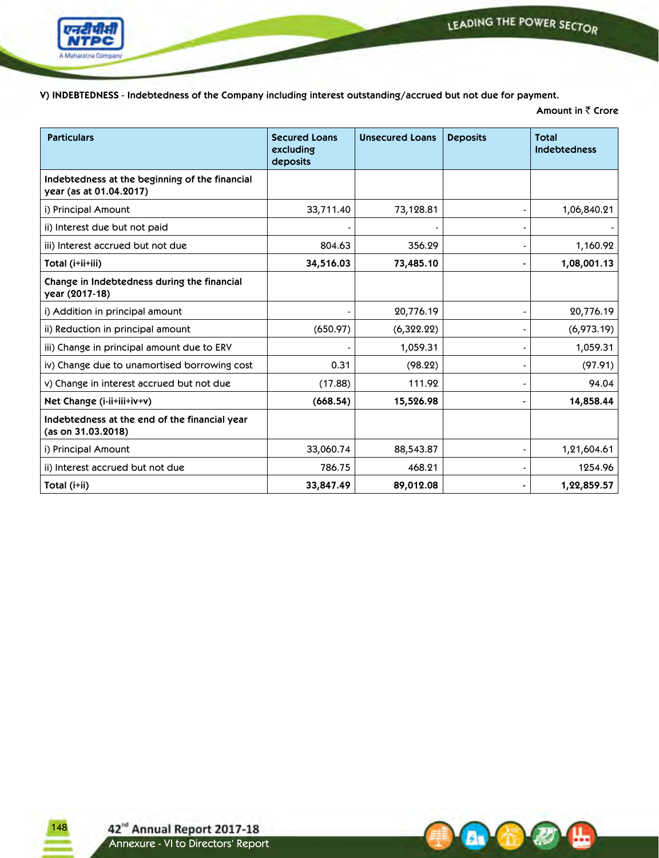

**A** 

**V) INDEBTEDNESS - Indebtedness of the Company including interest outstanding/accrued but not due for payment.**

**Amount in** ₹ Crore

| <b>Particulars</b>                                                        | <b>Secured Loans</b><br>excluding<br>deposits | <b>Unsecured Loans</b> | <b>Deposits</b> | <b>Total</b><br><b>Indebtedness</b> |
|---------------------------------------------------------------------------|-----------------------------------------------|------------------------|-----------------|-------------------------------------|
| Indebtedness at the beginning of the financial<br>year (as at 01.04.2017) |                                               |                        |                 |                                     |
| i) Principal Amount                                                       | 33,711.40                                     | 73,128.81              |                 | 1,06,840.21                         |
| ii) Interest due but not paid                                             |                                               |                        |                 |                                     |
| iii) Interest accrued but not due                                         | 804.63                                        | 356.29                 |                 | 1,160.92                            |
| Total (i+ii+iii)                                                          | 34,516.03                                     | 73,485.10              | $\blacksquare$  | 1,08,001.13                         |
| Change in Indebtedness during the financial<br>year (2017-18)             |                                               |                        |                 |                                     |
| i) Addition in principal amount                                           |                                               | 20,776.19              |                 | 20,776.19                           |
| ii) Reduction in principal amount                                         | (650.97)                                      | (6,322.22)             |                 | (6,973.19)                          |
| iii) Change in principal amount due to ERV                                |                                               | 1,059.31               |                 | 1,059.31                            |
| iv) Change due to unamortised borrowing cost                              | 0.31                                          | (98.22)                |                 | (97.91)                             |
| v) Change in interest accrued but not due                                 | (17.88)                                       | 111.92                 |                 | 94.04                               |
| Net Change (i-ii+iii+iv+v)                                                | (668.54)                                      | 15,526.98              |                 | 14,858.44                           |
| Indebtedness at the end of the financial year<br>(as on 31.03.2018)       |                                               |                        |                 |                                     |
| i) Principal Amount                                                       | 33,060.74                                     | 88,543.87              |                 | 1,21,604.61                         |
| ii) Interest accrued but not due                                          | 786.75                                        | 468.21                 |                 | 1254.96                             |
| Total (i+ii)                                                              | 33,847.49                                     | 89,012.08              |                 | 1,22,859.57                         |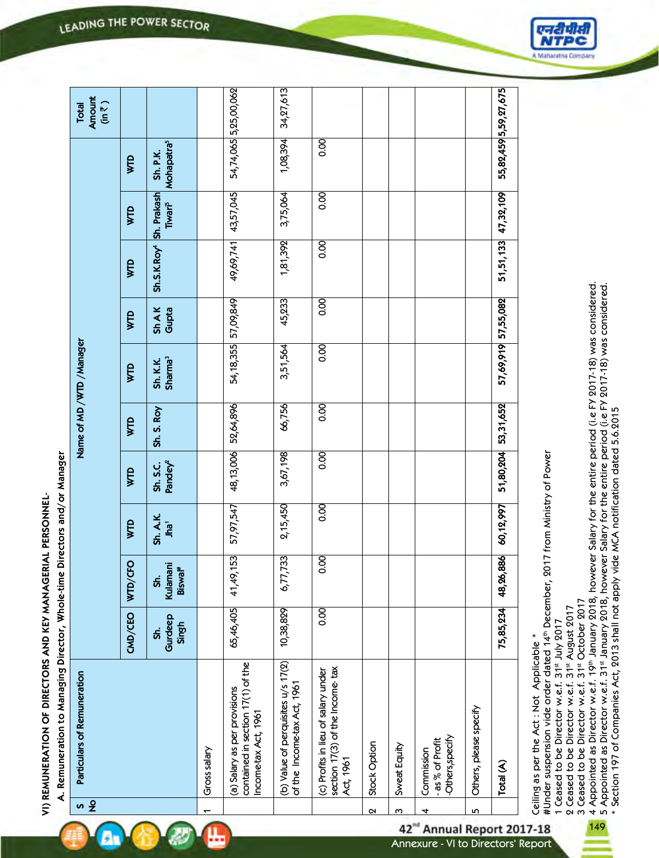VI) REMUNERATION OF DIRECTORS AND KEY MANAGERIAL PERSONNEL-**VI) REMUNERATION OF DIRECTORS AND KEY MANAGERIAL PERSONNEL-**

| Directors and/or Manage                        |
|------------------------------------------------|
|                                                |
|                                                |
|                                                |
|                                                |
|                                                |
|                                                |
|                                                |
|                                                |
|                                                |
|                                                |
|                                                |
|                                                |
|                                                |
|                                                |
|                                                |
|                                                |
|                                                |
|                                                |
|                                                |
|                                                |
|                                                |
|                                                |
|                                                |
|                                                |
|                                                |
|                                                |
|                                                |
|                                                |
|                                                |
|                                                |
|                                                |
|                                                |
|                                                |
|                                                |
|                                                |
|                                                |
|                                                |
|                                                |
|                                                |
|                                                |
|                                                |
| muneration to Managing Director, Whole-time Di |
| i<br>District                                  |
|                                                |

孙

| $\frac{8}{2}$ | Particulars of Remuneration                                                               |                         |                                        |                              |                                 |                | Name of MD /WTD /Manager        |                      |                                     |                           |                                    | Amount<br>$(in \overline{\overline{\zeta}})$<br>Total |
|---------------|-------------------------------------------------------------------------------------------|-------------------------|----------------------------------------|------------------------------|---------------------------------|----------------|---------------------------------|----------------------|-------------------------------------|---------------------------|------------------------------------|-------------------------------------------------------|
|               |                                                                                           | CMD/CEO                 | WTD/CFO                                | WTD                          | <b>WTD</b>                      | WТD            | WTD                             | WTD                  | WTD                                 | WTD                       | WTD                                |                                                       |
|               |                                                                                           | Gurdeep<br>Singh<br>sf. | Kulamani<br>Biswal <sup>#</sup><br>Sh. | Sh. A.K.<br>Jha <sup>1</sup> | Pandey <sup>2</sup><br>Sh. S.C. | Sh. S. Roy     | Sharma <sup>3</sup><br>Sh. K.K. | <b>ShAK</b><br>Gupta | Sh.S.K.Roy <sup>4</sup> Sh. Prakash | <b>Tiwari<sup>5</sup></b> | Mohapatra <sup>5</sup><br>Sh. P.K. |                                                       |
|               | Gross salary                                                                              |                         |                                        |                              |                                 |                |                                 |                      |                                     |                           |                                    |                                                       |
|               | contained in section 17(1) of the<br>(a) Salary as per provisions<br>Income-tax Act, 1961 | 65,46,405               | 41,49,153                              | 57,97,547                    | 48,13,006                       | 52,64,896      | 54, 18, 355                     | 57,09,849            | 49,69,741                           | 43,57,045                 |                                    | 54,74,065 5,25,00,062                                 |
|               | (b) Value of perquisites u/s 17(2)<br>of the Income-tax Act, 1961                         | 10,38,829               | 6,77,733                               | 2, 15, 450                   | 3,67,198                        | 66,756         | 3,51,564                        | 45,233               | 1,81,392                            | 3,75,064                  | 1,08,394                           | 34,27,613                                             |
|               | section 17(3) of the Income-tax<br>(c) Profits in lieu of salary under<br>Act, 1961       | $\overline{0.00}$       | $rac{1}{2}$                            | $\overline{5}$               | $\overline{8}$                  | $\overline{0}$ | $\overline{0.00}$               | $\overline{5}$       | 0.00                                | $\overline{0}$            | $\overline{\text{0}}$              |                                                       |
| $\sim$        | Stock Option                                                                              |                         |                                        |                              |                                 |                |                                 |                      |                                     |                           |                                    |                                                       |
| ო             | Sweat Equity                                                                              |                         |                                        |                              |                                 |                |                                 |                      |                                     |                           |                                    |                                                       |
| 4             | -Others, specify<br>as % of Profit<br>Commission                                          |                         |                                        |                              |                                 |                |                                 |                      |                                     |                           |                                    |                                                       |
| 5             | Others, please specify                                                                    |                         |                                        |                              |                                 |                |                                 |                      |                                     |                           |                                    |                                                       |
|               | Total (A)                                                                                 | 75,85,234               | 48,26,886                              | 60,12,997                    | 51,80,204                       | 53,31,652      | 57,69,919 57,55,082             |                      |                                     | 51,51,133 47,32,109       |                                    | 55,82,459 5,59,27,675                                 |
|               |                                                                                           |                         |                                        |                              |                                 |                |                                 |                      |                                     |                           |                                    |                                                       |

Annexure - VI to Directors' Report

42<sup>nd</sup> Annual Report 2017-18

#Under suspension vide order dated 14th December, 2017 from Ministry of Power #Under suspension vide order dated 14th December, 2017 from Ministry of Power

1 Ceased to be Director w.e.f. 31st July 2017

1 Ceased to be Director w.e.f. 31<sup>st</sup> July 2017<br>2 Ceased to be Director w.e.f. 31<sup>st</sup> August 2017 2 Ceased to be Director w.e.f. 31st August 2017

3 Ceased to be Director w.e.f. 31st October 2017 3 Ceased to be Director w.e.f. 31st October 2017

149 4 Appointed as Director w.e.f. 19th January 2018, however Salary for the entire period (i.e FY 2017-18) was considered.

4 Appointed as Director w.e.f. 19th January 2018, however Salary for the entire period (i.e FY 2017-18) was considered.<br>5 Appointed as Director w.e.f. 31st January 2018, however Salary for the entire period (i.e FY 2017-18 5 Appointed as Director w.e.f. 31st January 2018, however Salary for the entire period (i.e FY 2017-18) was considered.

\* Section 197 of Companies Act, 2013 shall not apply vide MCA notification dated 5.6.2015

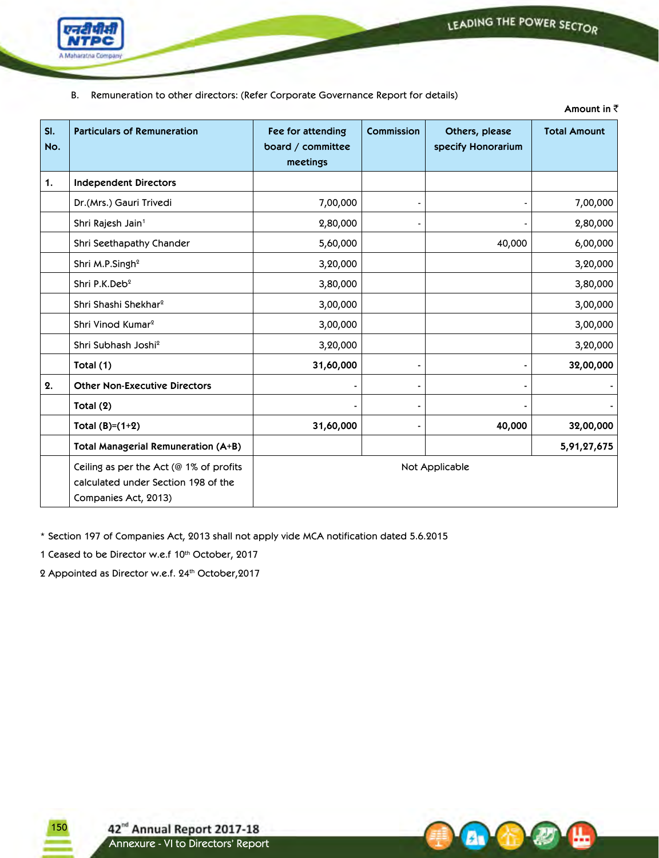**Amount in** `



B. Remuneration to other directors: (Refer Corporate Governance Report for details)

| SI.<br>No. | <b>Particulars of Remuneration</b>                                                                        | Fee for attending<br>board / committee<br>meetings | Commission | Others, please<br>specify Honorarium | <b>Total Amount</b> |
|------------|-----------------------------------------------------------------------------------------------------------|----------------------------------------------------|------------|--------------------------------------|---------------------|
| 1.         | <b>Independent Directors</b>                                                                              |                                                    |            |                                      |                     |
|            | Dr.(Mrs.) Gauri Trivedi                                                                                   | 7,00,000                                           |            |                                      | 7,00,000            |
|            | Shri Rajesh Jain <sup>1</sup>                                                                             | 2,80,000                                           |            |                                      | 2,80,000            |
|            | Shri Seethapathy Chander                                                                                  | 5,60,000                                           |            | 40,000                               | 6,00,000            |
|            | Shri M.P.Singh <sup>2</sup>                                                                               | 3,20,000                                           |            |                                      | 3,20,000            |
|            | Shri P.K.Deb <sup>2</sup>                                                                                 | 3,80,000                                           |            |                                      | 3,80,000            |
|            | Shri Shashi Shekhar <sup>2</sup>                                                                          | 3,00,000                                           |            |                                      | 3,00,000            |
|            | Shri Vinod Kumar <sup>2</sup>                                                                             | 3,00,000                                           |            |                                      | 3,00,000            |
|            | Shri Subhash Joshi <sup>2</sup>                                                                           | 3,20,000                                           |            |                                      | 3,20,000            |
|            | Total (1)                                                                                                 | 31,60,000                                          |            |                                      | 32,00,000           |
| 2.         | <b>Other Non-Executive Directors</b>                                                                      |                                                    |            |                                      |                     |
|            | Total (2)                                                                                                 |                                                    |            |                                      |                     |
|            | Total $(B)=(1+2)$                                                                                         | 31,60,000                                          |            | 40,000                               | 32,00,000           |
|            | Total Managerial Remuneration (A+B)                                                                       |                                                    |            |                                      | 5,91,27,675         |
|            | Ceiling as per the Act ( $@1\%$ of profits<br>calculated under Section 198 of the<br>Companies Act, 2013) |                                                    |            | Not Applicable                       |                     |

\* Section 197 of Companies Act, 2013 shall not apply vide MCA notification dated 5.6.2015

1 Ceased to be Director w.e.f 10th October, 2017

2 Appointed as Director w.e.f. 24<sup>th</sup> October, 2017

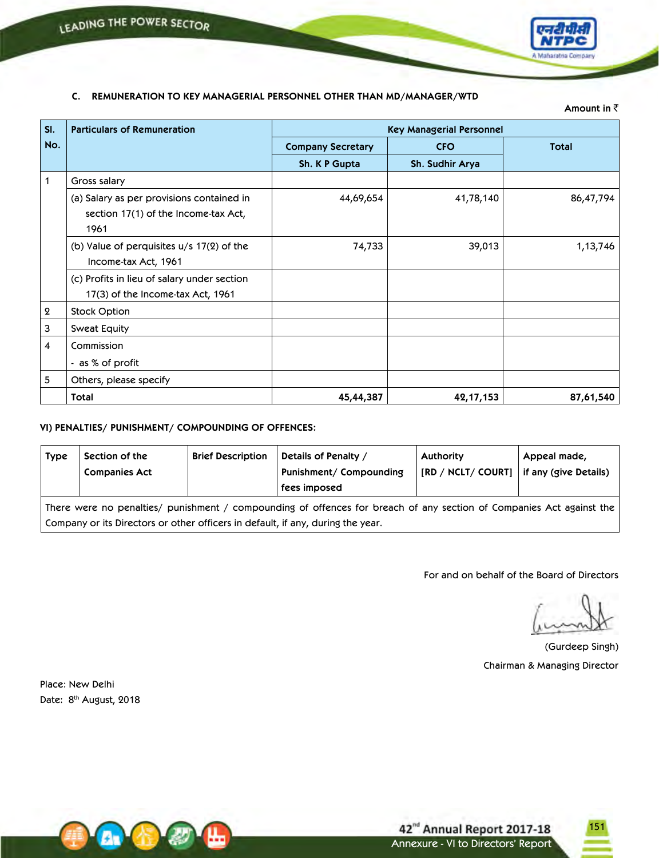

# **C. REMUNERATION TO KEY MANAGERIAL PERSONNEL OTHER THAN MD/MANAGER/WTD**

**Amount in** `

| SI.              | <b>Particulars of Remuneration</b>                                                        |                          | <b>Key Managerial Personnel</b> |              |
|------------------|-------------------------------------------------------------------------------------------|--------------------------|---------------------------------|--------------|
| No.              |                                                                                           | <b>Company Secretary</b> | <b>CFO</b>                      | <b>Total</b> |
|                  |                                                                                           | Sh. K P Gupta            | Sh. Sudhir Arya                 |              |
| 1                | Gross salary                                                                              |                          |                                 |              |
|                  | (a) Salary as per provisions contained in<br>section 17(1) of the Income-tax Act,<br>1961 | 44,69,654                | 41,78,140                       | 86,47,794    |
|                  | (b) Value of perquisites $u/s$ 17(2) of the<br>Income-tax Act, 1961                       | 74,733                   | 39,013                          | 1,13,746     |
|                  | (c) Profits in lieu of salary under section<br>17(3) of the Income-tax Act, 1961          |                          |                                 |              |
| $\boldsymbol{2}$ | <b>Stock Option</b>                                                                       |                          |                                 |              |
| 3                | Sweat Equity                                                                              |                          |                                 |              |
| 4                | Commission                                                                                |                          |                                 |              |
|                  | - as % of profit                                                                          |                          |                                 |              |
| 5                | Others, please specify                                                                    |                          |                                 |              |
|                  | Total                                                                                     | 45,44,387                | 42, 17, 153                     | 87,61,540    |

# **VI) PENALTIES/ PUNISHMENT/ COMPOUNDING OF OFFENCES:**

| Type                                                                                                                                                                                                    | Section of the<br><b>Companies Act</b> | <b>Brief Description</b> | Details of Penalty /<br>Punishment/ Compounding<br>fees imposed | <b>Authority</b><br><b>IRD / NCLT/ COURTI</b> | Appeal made,<br>if any (give Details) |  |  |
|---------------------------------------------------------------------------------------------------------------------------------------------------------------------------------------------------------|----------------------------------------|--------------------------|-----------------------------------------------------------------|-----------------------------------------------|---------------------------------------|--|--|
| There were no penalties/ punishment / compounding of offences for breach of any section of Companies Act against the<br>Company or its Directors or other officers in default, if any, during the year. |                                        |                          |                                                                 |                                               |                                       |  |  |

For and on behalf of the Board of Directors

(Gurdeep Singh) Chairman & Managing Director

Place: New Delhi Date: 8<sup>th</sup> August, 2018



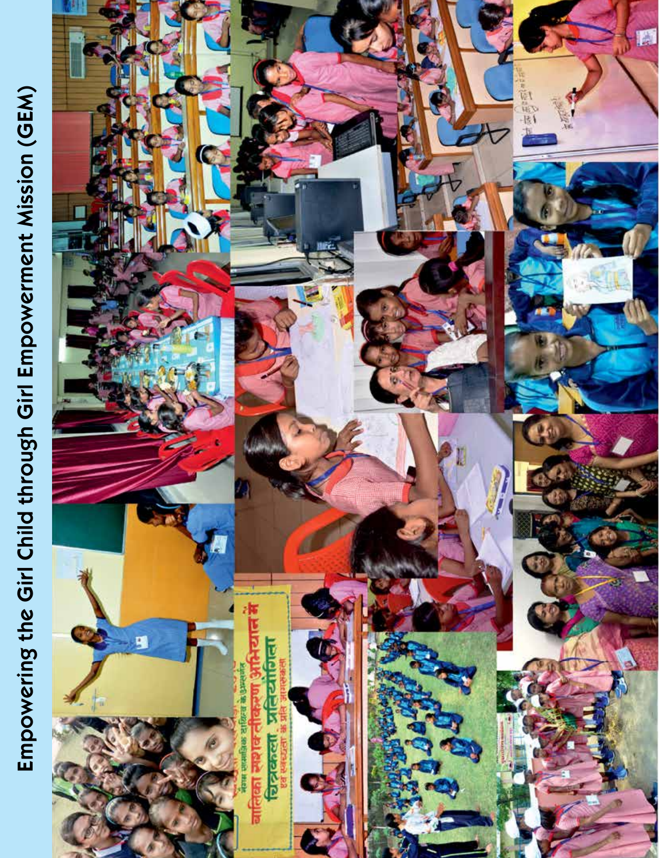# Empowering the Girl Child through Girl Empowerment Mission (GEM) **Empowering the Girl Child through Girl Empowerment Mission (GEM)**

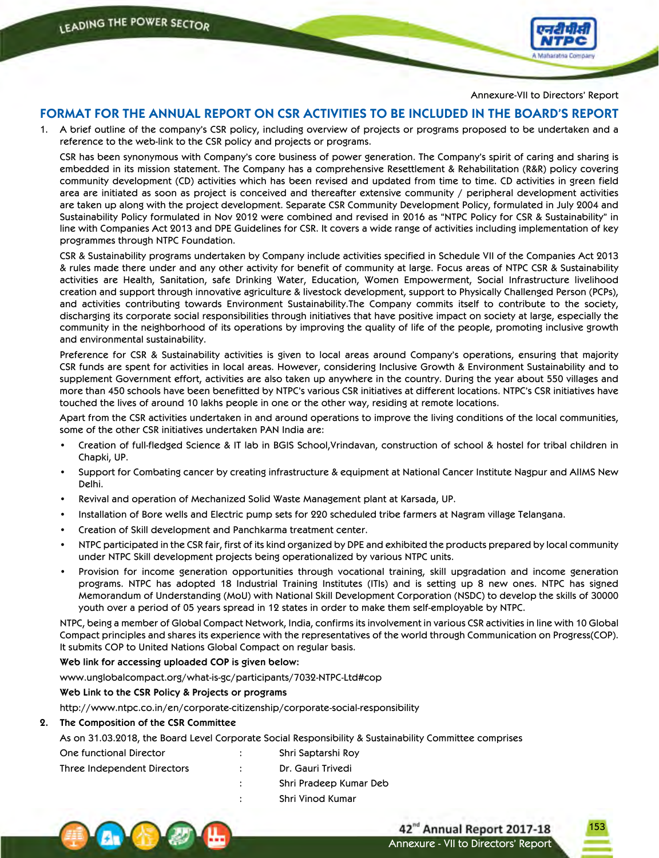

Annexure-VII to Directors' Report

# **FORMAT FOR THE ANNUAL REPORT ON CSR ACTIVITIES TO BE INCLUDED IN THE BOARD'S REPORT**

1. A brief outline of the company's CSR policy, including overview of projects or programs proposed to be undertaken and a reference to the web-link to the CSR policy and projects or programs.

CSR has been synonymous with Company's core business of power generation. The Company's spirit of caring and sharing is embedded in its mission statement. The Company has a comprehensive Resettlement & Rehabilitation (R&R) policy covering community development (CD) activities which has been revised and updated from time to time. CD activities in green field area are initiated as soon as project is conceived and thereafter extensive community / peripheral development activities are taken up along with the project development. Separate CSR Community Development Policy, formulated in July 2004 and Sustainability Policy formulated in Nov 2012 were combined and revised in 2016 as "NTPC Policy for CSR & Sustainability" in line with Companies Act 2013 and DPE Guidelines for CSR. It covers a wide range of activities including implementation of key programmes through NTPC Foundation.

 CSR & Sustainability programs undertaken by Company include activities specified in Schedule VII of the Companies Act 2013 & rules made there under and any other activity for benefit of community at large. Focus areas of NTPC CSR & Sustainability activities are Health, Sanitation, safe Drinking Water, Education, Women Empowerment, Social Infrastructure livelihood creation and support through innovative agriculture & livestock development, support to Physically Challenged Person (PCPs), and activities contributing towards Environment Sustainability.The Company commits itself to contribute to the society, discharging its corporate social responsibilities through initiatives that have positive impact on society at large, especially the community in the neighborhood of its operations by improving the quality of life of the people, promoting inclusive growth and environmental sustainability.

Preference for CSR & Sustainability activities is given to local areas around Company's operations, ensuring that majority CSR funds are spent for activities in local areas. However, considering Inclusive Growth & Environment Sustainability and to supplement Government effort, activities are also taken up anywhere in the country. During the year about 550 villages and more than 450 schools have been benefitted by NTPC's various CSR initiatives at different locations. NTPC's CSR initiatives have touched the lives of around 10 lakhs people in one or the other way, residing at remote locations.

 Apart from the CSR activities undertaken in and around operations to improve the living conditions of the local communities, some of the other CSR initiatives undertaken PAN India are:

- Creation of full-fledged Science & IT lab in BGIS School,Vrindavan, construction of school & hostel for tribal children in Chapki, UP.
- Support for Combating cancer by creating infrastructure & equipment at National Cancer Institute Nagpur and AIIMS New Delhi.
- Revival and operation of Mechanized Solid Waste Management plant at Karsada, UP.
- Installation of Bore wells and Electric pump sets for 220 scheduled tribe farmers at Nagram village Telangana.
- Creation of Skill development and Panchkarma treatment center.
- NTPC participated in the CSR fair, first of its kind organized by DPE and exhibited the products prepared by local community under NTPC Skill development projects being operationalized by various NTPC units.
- Provision for income generation opportunities through vocational training, skill upgradation and income generation programs. NTPC has adopted 18 Industrial Training Institutes (ITIs) and is setting up 8 new ones. NTPC has signed Memorandum of Understanding (MoU) with National Skill Development Corporation (NSDC) to develop the skills of 30000 youth over a period of 05 years spread in 12 states in order to make them self-employable by NTPC.

 NTPC, being a member of Global Compact Network, India, confirms its involvement in various CSR activities in line with 10 Global Compact principles and shares its experience with the representatives of the world through Communication on Progress(COP). It submits COP to United Nations Global Compact on regular basis.

**Web link for accessing uploaded COP is given below:**

www.unglobalcompact.org/what-is-gc/participants/7032-NTPC-Ltd#cop

**Web Link to the CSR Policy & Projects or programs**

http://www.ntpc.co.in/en/corporate-citizenship/corporate-social-responsibility

#### **2. The Composition of the CSR Committee**

As on 31.03.2018, the Board Level Corporate Social Responsibility & Sustainability Committee comprises

| One functional Director     |               | Shri Saptarshi Roy     |
|-----------------------------|---------------|------------------------|
| Three Independent Directors | $\sim$ $\sim$ | Dr. Gauri Trivedi      |
|                             |               | Shri Pradeep Kumar Deb |
|                             |               | Shri Vinod Kumar       |

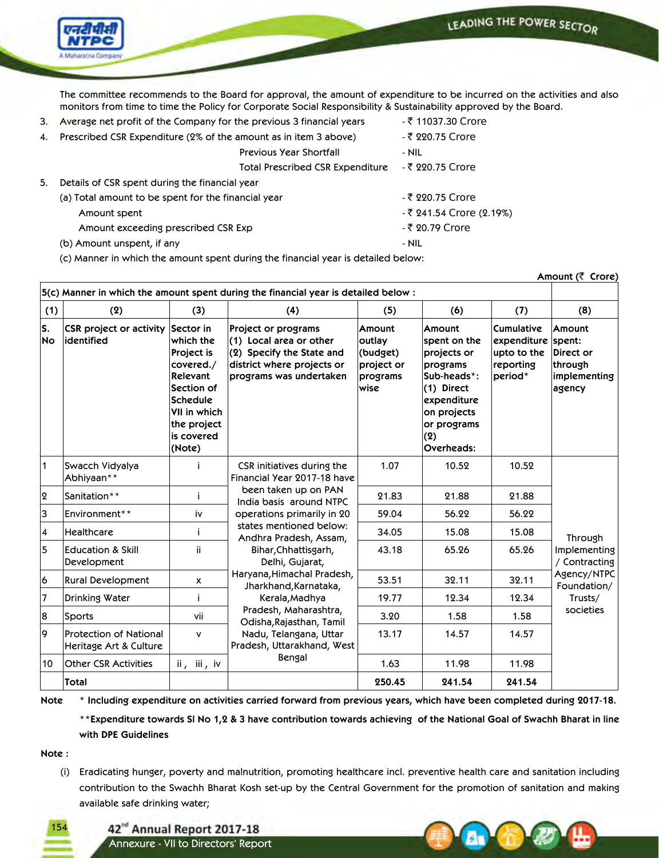

 The committee recommends to the Board for approval, the amount of expenditure to be incurred on the activities and also monitors from time to time the Policy for Corporate Social Responsibility & Sustainability approved by the Board.

3. Average net profit of the Company for the previous 3 financial years  $\overline{\ }$  11037.30 Crore 4. Prescribed CSR Expenditure (2% of the amount as in item 3 above)  $\bar{\tau}$  220.75 Crore Previous Year Shortfall **- NIL** Total Prescribed CSR Expenditure - ₹ 220.75 Crore 5. Details of CSR spent during the financial year (a) Total amount to be spent for the financial year  $\bar{\tau}$  220.75 Crore Amount spent and the set of the set of the set of the set of the set of the set of the set of the set of the s Amount exceeding prescribed CSR Exp - 20.79 Crore (b) Amount unspent, if any  $\blacksquare$ 

(c) Manner in which the amount spent during the financial year is detailed below:

| Amount (₹ Crore) |                                                         |                                                                                                                                                                     |                                                                                                                                               |                                                                |                                                                                                                                                  |                                                                         |                                                                    |
|------------------|---------------------------------------------------------|---------------------------------------------------------------------------------------------------------------------------------------------------------------------|-----------------------------------------------------------------------------------------------------------------------------------------------|----------------------------------------------------------------|--------------------------------------------------------------------------------------------------------------------------------------------------|-------------------------------------------------------------------------|--------------------------------------------------------------------|
|                  |                                                         |                                                                                                                                                                     | 5(c) Manner in which the amount spent during the financial year is detailed below:                                                            |                                                                |                                                                                                                                                  |                                                                         |                                                                    |
| (1)              | (2)                                                     | (3)                                                                                                                                                                 | (4)                                                                                                                                           | (5)                                                            | (6)                                                                                                                                              | (7)                                                                     | (8)                                                                |
| ls.<br>No        | CSR project or activity<br>lidentified                  | Sector in<br>which the<br><b>Project is</b><br>covered./<br>Relevant<br>Section of<br><b>Schedule</b><br><b>VII in which</b><br>the project<br>is covered<br>(Note) | <b>Project or programs</b><br>(1) Local area or other<br>$(2)$ Specify the State and<br>district where projects or<br>programs was undertaken | Amount<br>outlay<br>(budget)<br>project or<br>programs<br>wise | Amount<br>spent on the<br>projects or<br>programs<br>Sub-heads*:<br>(1) Direct<br>expenditure<br>on projects<br>or programs<br>(2)<br>Overheads: | <b>Cumulative</b><br>expenditure<br>upto to the<br>reporting<br>period* | Amount<br>spent:<br>Direct or<br>through<br>implementing<br>agency |
| $\overline{1}$   | Swacch Vidyalya<br>Abhiyaan**                           | j                                                                                                                                                                   | CSR initiatives during the<br>Financial Year 2017-18 have                                                                                     | 1.07                                                           | 10.52                                                                                                                                            | 10.52                                                                   |                                                                    |
| $\overline{2}$   | Sanitation**                                            | Ť                                                                                                                                                                   | been taken up on PAN<br>India basis around NTPC                                                                                               | 21.83                                                          | 21.88                                                                                                                                            | 21.88                                                                   |                                                                    |
| 3                | Environment**                                           | iv                                                                                                                                                                  | operations primarily in 20                                                                                                                    | 59.04                                                          | 56.22                                                                                                                                            | 56.22                                                                   |                                                                    |
| 4                | <b>Healthcare</b>                                       | Ť                                                                                                                                                                   | states mentioned below:<br>Andhra Pradesh, Assam,                                                                                             | 34.05                                                          | 15.08                                                                                                                                            | 15.08                                                                   | Through                                                            |
| 5                | <b>Education &amp; Skill</b><br>Development             | ii                                                                                                                                                                  | Bihar, Chhattisgarh,<br>Delhi, Gujarat,                                                                                                       | 43.18                                                          | 65.26                                                                                                                                            | 65.26                                                                   | Implementing<br>/ Contracting                                      |
| $\overline{6}$   | Rural Development                                       | X                                                                                                                                                                   | Haryana, Himachal Pradesh,<br>Jharkhand, Karnataka,                                                                                           | 53.51                                                          | 32.11                                                                                                                                            | 32.11                                                                   | Agency/NTPC<br>Foundation/                                         |
| 7                | Drinking Water                                          | Ť                                                                                                                                                                   | Kerala, Madhya                                                                                                                                | 19.77                                                          | 12.34                                                                                                                                            | 12.34                                                                   | Trusts/                                                            |
| 8                | Sports                                                  | vii                                                                                                                                                                 | Pradesh, Maharashtra,<br>Odisha, Rajasthan, Tamil                                                                                             | 3.20                                                           | 1.58                                                                                                                                             | 1.58                                                                    | societies                                                          |
| 9                | <b>Protection of National</b><br>Heritage Art & Culture | ٧                                                                                                                                                                   | Nadu, Telangana, Uttar<br>Pradesh, Uttarakhand, West                                                                                          | 13.17                                                          | 14.57                                                                                                                                            | 14.57                                                                   |                                                                    |
| 10               | <b>Other CSR Activities</b>                             | ii, iii, iv                                                                                                                                                         | Bengal                                                                                                                                        | 1.63                                                           | 11.98                                                                                                                                            | 11.98                                                                   |                                                                    |
|                  | <b>Total</b>                                            |                                                                                                                                                                     |                                                                                                                                               | 250.45                                                         | 241.54                                                                                                                                           | 241.54                                                                  |                                                                    |

Note \* Including expenditure on activities carried forward from previous years, which have been completed during 2017-18.

\*\* Expenditure towards SI No 1,2 & 3 have contribution towards achieving of the National Goal of Swachh Bharat in line **with DPE Guidelines**

**Note :**

(i) Eradicating hunger, poverty and malnutrition, promoting healthcare incl. preventive health care and sanitation including contribution to the Swachh Bharat Kosh set-up by the Central Government for the promotion of sanitation and making available safe drinking water;

154

42<sup>nd</sup> Annual Report 2017-18 Annexure - VII to Directors' Report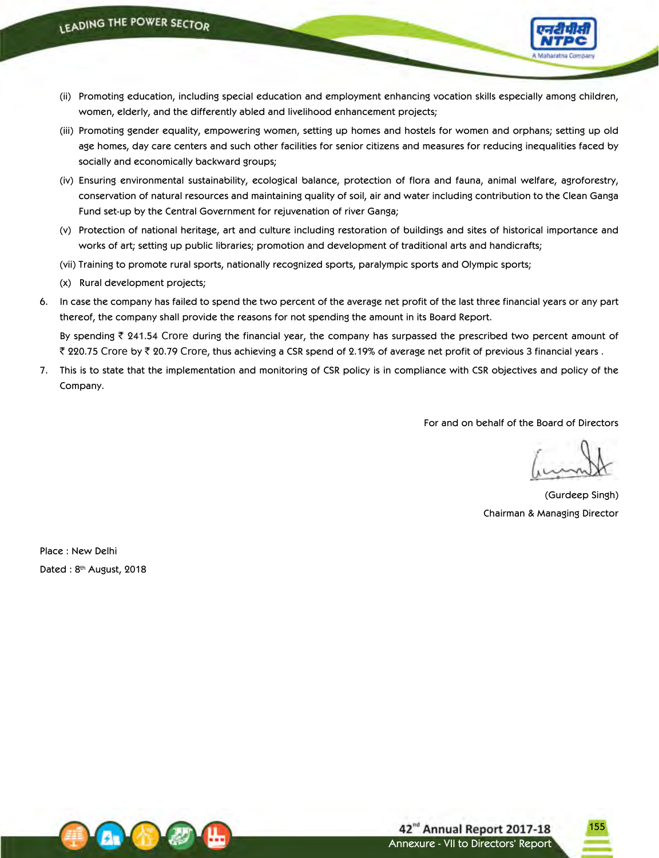

- (ii) Promoting education, including special education and employment enhancing vocation skills especially among children, women, elderly, and the differently abled and livelihood enhancement projects;
- (iii) Promoting gender equality, empowering women, setting up homes and hostels for women and orphans; setting up old age homes, day care centers and such other facilities for senior citizens and measures for reducing inequalities faced by socially and economically backward groups;
- (iv) Ensuring environmental sustainability, ecological balance, protection of flora and fauna, animal welfare, agroforestry, conservation of natural resources and maintaining quality of soil, air and water including contribution to the Clean Ganga Fund set-up by the Central Government for rejuvenation of river Ganga;
- (v) Protection of national heritage, art and culture including restoration of buildings and sites of historical importance and works of art; setting up public libraries; promotion and development of traditional arts and handicrafts;
- (vii) Training to promote rural sports, nationally recognized sports, paralympic sports and Olympic sports;
- (x) Rural development projects;
- 6. In case the company has failed to spend the two percent of the average net profit of the last three financial years or any part thereof, the company shall provide the reasons for not spending the amount in its Board Report.

By spending  $\bar{\tau}$  241.54 Crore during the financial year, the company has surpassed the prescribed two percent amount of ₹ 220.75 Crore by ₹ 20.79 Crore, thus achieving a CSR spend of 2.19% of average net profit of previous 3 financial years .

7. This is to state that the implementation and monitoring of CSR policy is in compliance with CSR objectives and policy of the Company.

For and on behalf of the Board of Directors

155

(Gurdeep Singh) Chairman & Managing Director

Place : New Delhi Dated: 8<sup>th</sup> August, 2018

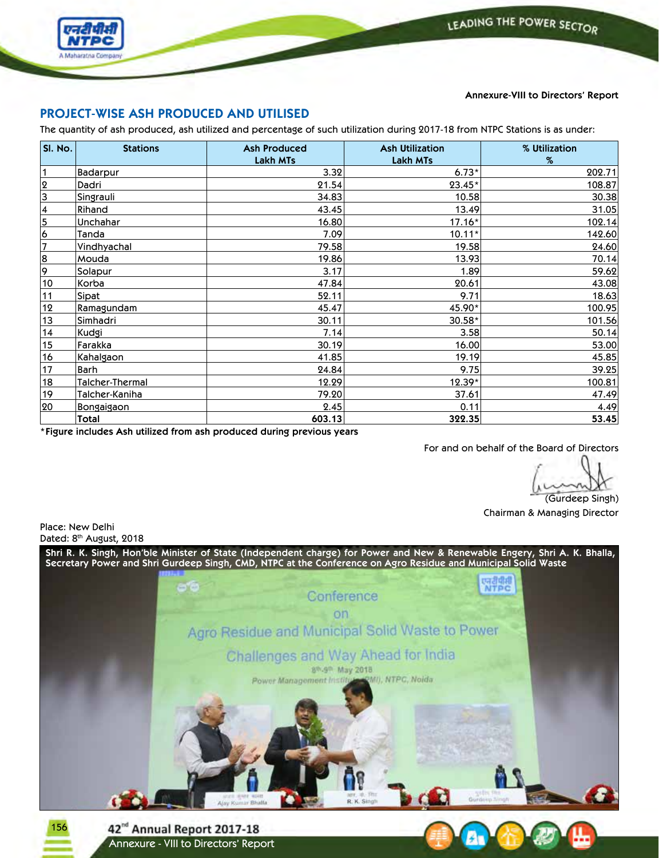



# **Annexure-VIII to Directors' Report**

# **PROJECT-WISE ASH PRODUCED AND UTILISED**

The quantity of ash produced, ash utilized and percentage of such utilization during 2017-18 from NTPC Stations is as under:

| SI. No.                 | <b>Stations</b>  | <b>Ash Produced</b><br><b>Lakh MTs</b> | <b>Ash Utilization</b><br><b>Lakh MTs</b> | % Utilization<br>$\%$ |
|-------------------------|------------------|----------------------------------------|-------------------------------------------|-----------------------|
| $\vert$ 1               | <b>Badarpur</b>  | 3.32                                   | $6.73*$                                   | 202.71                |
| $\overline{2}$          | Dadri            | 21.54                                  | $23.45*$                                  | 108.87                |
| $\overline{3}$          | Singrauli        | 34.83                                  | 10.58                                     | 30.38                 |
| $\vert$ 4               | Rihand           | 43.45                                  | 13.49                                     | 31.05                 |
| 5                       | Unchahar         | 16.80                                  | $17.16*$                                  | 102.14                |
| 6                       | Tanda            | 7.09                                   | $10.11*$                                  | 142.60                |
| $\overline{7}$          | Vindhyachal      | 79.58                                  | 19.58                                     | 24.60                 |
| $\overline{\mathbf{8}}$ | Mouda            | 19.86                                  | 13.93                                     | 70.14                 |
| 9                       | Solapur          | 3.17                                   | 1.89                                      | 59.62                 |
| 10                      | Korba            | 47.84                                  | 20.61                                     | 43.08                 |
| 11                      | Sipat            | 52.11                                  | 9.71                                      | 18.63                 |
| 12                      | Ramagundam       | 45.47                                  | 45.90*                                    | 100.95                |
| 13                      | Simhadri         | 30.11                                  | $30.58*$                                  | 101.56                |
| 14                      | Kudgi            | 7.14                                   | 3.58                                      | 50.14                 |
| 15                      | Farakka          | 30.19                                  | 16.00                                     | 53.00                 |
| 16                      | <b>Kahalgaon</b> | 41.85                                  | 19.19                                     | 45.85                 |
| 17                      | Barh             | 24.84                                  | 9.75                                      | 39.25                 |
| 18                      | Talcher-Thermal  | 12.29                                  | 12.39*                                    | 100.81                |
| 19                      | Talcher-Kaniha   | 79.20                                  | 37.61                                     | 47.49                 |
| 20                      | Bongaigaon       | 2.45                                   | 0.11                                      | 4.49                  |
|                         | Total            | 603.13                                 | 322.35                                    | 53.45                 |

**\*Figure includes Ash utilized from ash produced during previous years**

For and on behalf of the Board of Directors

(Gurdeep Singh) Chairman & Managing Director

Place: New Delhi Dated: 8<sup>th</sup> August, 2018

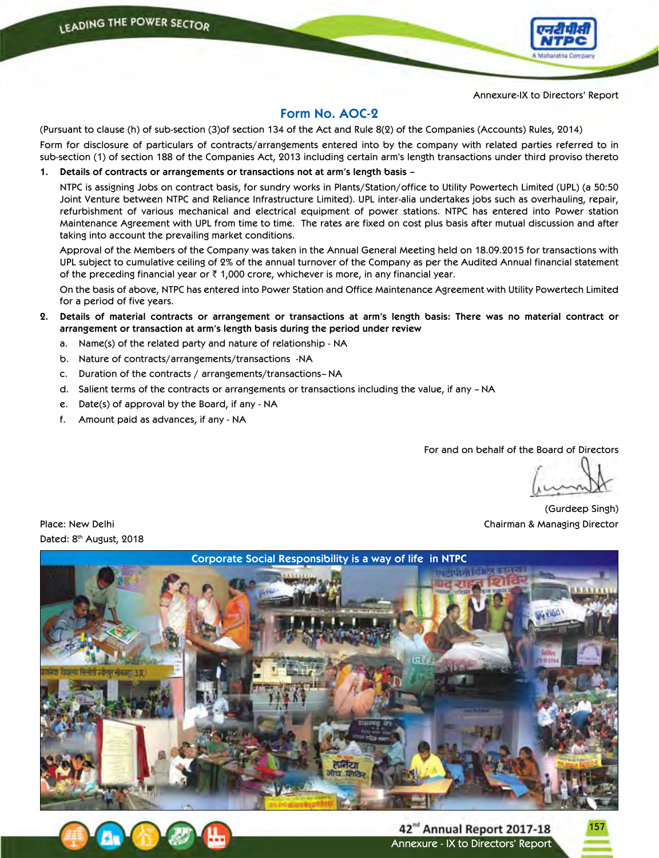

Annexure-IX to Directors' Report

# **Form No. AOC-2**

(Pursuant to clause (h) of sub-section (3)of section 134 of the Act and Rule 8(2) of the Companies (Accounts) Rules, 2014)

Form for disclosure of particulars of contracts/arrangements entered into by the company with related parties referred to in sub-section (1) of section 188 of the Companies Act, 2013 including certain arm's length transactions under third proviso thereto

**1. Details of contracts or arrangements or transactions not at arm's length basis –**

 NTPC is assigning Jobs on contract basis, for sundry works in Plants/Station/office to Utility Powertech Limited (UPL) (a 50:50 Joint Venture between NTPC and Reliance Infrastructure Limited). UPL inter-alia undertakes jobs such as overhauling, repair, refurbishment of various mechanical and electrical equipment of power stations. NTPC has entered into Power station Maintenance Agreement with UPL from time to time. The rates are fixed on cost plus basis after mutual discussion and after taking into account the prevailing market conditions.

 Approval of the Members of the Company was taken in the Annual General Meeting held on 18.09.2015 for transactions with UPL subject to cumulative ceiling of 2% of the annual turnover of the Company as per the Audited Annual financial statement of the preceding financial year or  $\bar{\zeta}$  1,000 crore, whichever is more, in any financial year.

 On the basis of above, NTPC has entered into Power Station and Office Maintenance Agreement with Utility Powertech Limited for a period of five years.

- 2. Details of material contracts or arrangement or transactions at arm's length basis: There was no material contract or **arrangement or transaction at arm's length basis during the period under review**
	- a. Name(s) of the related party and nature of relationship NA
	- b. Nature of contracts/arrangements/transactions -NA
	- c. Duration of the contracts / arrangements/transactions– NA
	- d. Salient terms of the contracts or arrangements or transactions including the value, if any NA
	- e. Date(s) of approval by the Board, if any NA
	- f. Amount paid as advances, if any NA

For and on behalf of the Board of Directors

157

(Gurdeep Singh) Place: New Delhi Chairman & Managing Director

Dated: 8<sup>th</sup> August, 2018





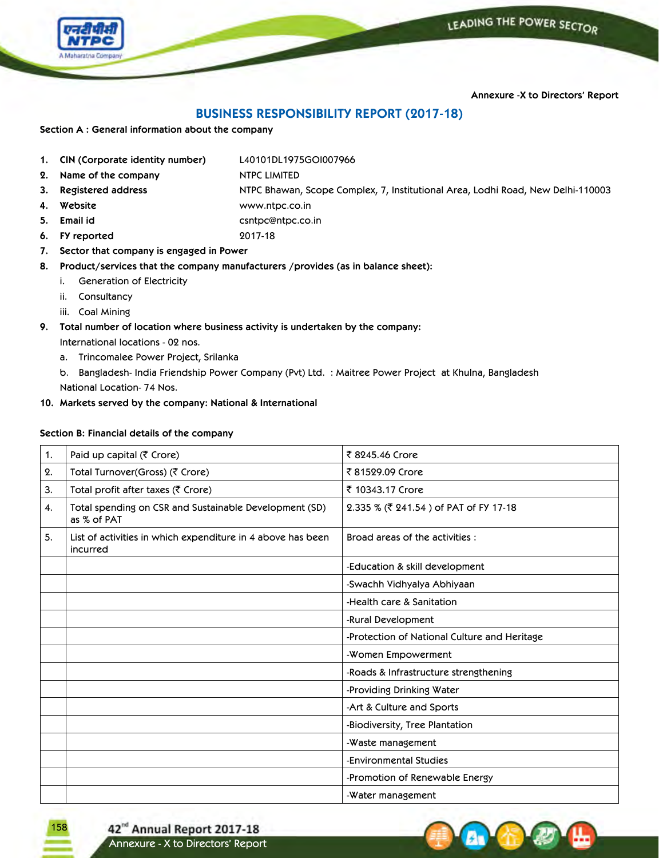

**Annexure -X to Directors' Report**

# **BUSINESS RESPONSIBILITY REPORT (2017-18)**

**Section A : General information about the company**

- **1. CIN (Corporate identity number)** L40101DL1975GOI007966
- **2. Name of the company** NTPC LIMITED
- **3. Registered address** NTPC Bhawan, Scope Complex, 7, Institutional Area, Lodhi Road, New Delhi-110003
- **4. Website** www.ntpc.co.in
- 

158

**5. Email id** csntpc@ntpc.co.in

**6. FY reported** 2017-18

**7. Sector that company is engaged in Power**

**8. Product/services that the company manufacturers /provides (as in balance sheet):**

- i. Generation of Electricity
- ii. Consultancy
- iii. Coal Mining
- **9. Total number of location where business activity is undertaken by the company:**

International locations - 02 nos.

a. Trincomalee Power Project, Srilanka

b. Bangladesh- India Friendship Power Company (Pvt) Ltd. : Maitree Power Project at Khulna, Bangladesh National Location- 74 Nos.

**10. Markets served by the company: National & International**

# **Section B: Financial details of the company**

| 1. | Paid up capital (₹ Crore)                                               | ₹ 8245.46 Crore                              |
|----|-------------------------------------------------------------------------|----------------------------------------------|
| 2. | Total Turnover(Gross) (₹ Crore)                                         | ₹81529.09 Crore                              |
| 3. | Total profit after taxes (₹ Crore)                                      | ₹ 10343.17 Crore                             |
| 4. | Total spending on CSR and Sustainable Development (SD)<br>as % of PAT   | 2.335 % (₹ 241.54) of PAT of FY 17-18        |
| 5. | List of activities in which expenditure in 4 above has been<br>incurred | Broad areas of the activities :              |
|    |                                                                         | -Education & skill development               |
|    |                                                                         | -Swachh Vidhyalya Abhiyaan                   |
|    |                                                                         | -Health care & Sanitation                    |
|    |                                                                         | -Rural Development                           |
|    |                                                                         | -Protection of National Culture and Heritage |
|    |                                                                         | -Women Empowerment                           |
|    |                                                                         | -Roads & Infrastructure strengthening        |
|    |                                                                         | -Providing Drinking Water                    |
|    |                                                                         | -Art & Culture and Sports                    |
|    |                                                                         | -Biodiversity, Tree Plantation               |
|    |                                                                         | -Waste management                            |
|    |                                                                         | -Environmental Studies                       |
|    |                                                                         | -Promotion of Renewable Energy               |
|    |                                                                         | -Water management                            |

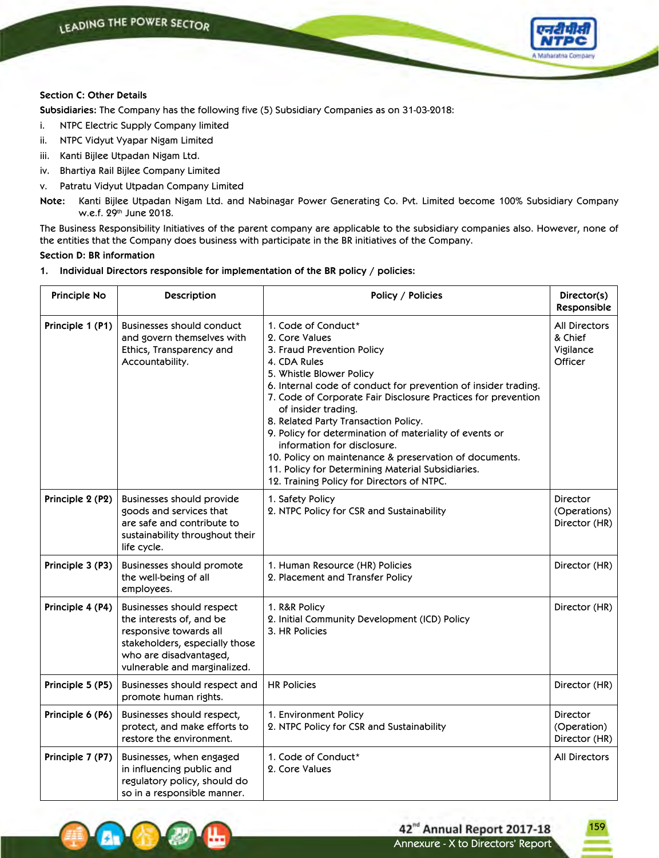

# **Section C: Other Details**

**Subsidiaries:** The Company has the following five (5) Subsidiary Companies as on 31-03-2018:

- i. NTPC Electric Supply Company limited
- ii. NTPC Vidyut Vyapar Nigam Limited
- iii. Kanti Bijlee Utpadan Nigam Ltd.
- iv. Bhartiya Rail Bijlee Company Limited
- v. Patratu Vidyut Utpadan Company Limited

**Note:** Kanti Bijlee Utpadan Nigam Ltd. and Nabinagar Power Generating Co. Pvt. Limited become 100% Subsidiary Company w.e.f. 29th June 2018.

The Business Responsibility Initiatives of the parent company are applicable to the subsidiary companies also. However, none of the entities that the Company does business with participate in the BR initiatives of the Company.

## **Section D: BR information**

**1. Individual Directors responsible for implementation of the BR policy / policies:**

| Principle No     | Description                                                                                                                                                                 | Policy / Policies                                                                                                                                                                                                                                                                                                                                                                                                                                                                                                                                                        | Director(s)<br>Responsible                       |
|------------------|-----------------------------------------------------------------------------------------------------------------------------------------------------------------------------|--------------------------------------------------------------------------------------------------------------------------------------------------------------------------------------------------------------------------------------------------------------------------------------------------------------------------------------------------------------------------------------------------------------------------------------------------------------------------------------------------------------------------------------------------------------------------|--------------------------------------------------|
| Principle 1 (P1) | <b>Businesses should conduct</b><br>and govern themselves with<br>Ethics, Transparency and<br>Accountability.                                                               | 1. Code of Conduct*<br>2. Core Values<br>3. Fraud Prevention Policy<br>4. CDA Rules<br>5. Whistle Blower Policy<br>6. Internal code of conduct for prevention of insider trading.<br>7. Code of Corporate Fair Disclosure Practices for prevention<br>of insider trading.<br>8. Related Party Transaction Policy.<br>9. Policy for determination of materiality of events or<br>information for disclosure.<br>10. Policy on maintenance & preservation of documents.<br>11. Policy for Determining Material Subsidiaries.<br>12. Training Policy for Directors of NTPC. | All Directors<br>& Chief<br>Vigilance<br>Officer |
| Principle 2 (P2) | Businesses should provide<br>goods and services that<br>are safe and contribute to<br>sustainability throughout their<br>life cycle.                                        | 1. Safety Policy<br>2. NTPC Policy for CSR and Sustainability                                                                                                                                                                                                                                                                                                                                                                                                                                                                                                            | Director<br>(Operations)<br>Director (HR)        |
| Principle 3 (P3) | Businesses should promote<br>the well-being of all<br>employees.                                                                                                            | 1. Human Resource (HR) Policies<br>2. Placement and Transfer Policy                                                                                                                                                                                                                                                                                                                                                                                                                                                                                                      | Director (HR)                                    |
| Principle 4 (P4) | Businesses should respect<br>the interests of, and be<br>responsive towards all<br>stakeholders, especially those<br>who are disadvantaged,<br>vulnerable and marginalized. | 1. R&R Policy<br>2. Initial Community Development (ICD) Policy<br>3. HR Policies                                                                                                                                                                                                                                                                                                                                                                                                                                                                                         | Director (HR)                                    |
| Principle 5 (P5) | Businesses should respect and<br>promote human rights.                                                                                                                      | <b>HR Policies</b>                                                                                                                                                                                                                                                                                                                                                                                                                                                                                                                                                       | Director (HR)                                    |
| Principle 6 (P6) | Businesses should respect,<br>protect, and make efforts to<br>restore the environment.                                                                                      | 1. Environment Policy<br>2. NTPC Policy for CSR and Sustainability                                                                                                                                                                                                                                                                                                                                                                                                                                                                                                       | Director<br>(Operation)<br>Director (HR)         |
| Principle 7 (P7) | Businesses, when engaged<br>in influencing public and<br>regulatory policy, should do<br>so in a responsible manner.                                                        | 1. Code of Conduct*<br>2. Core Values                                                                                                                                                                                                                                                                                                                                                                                                                                                                                                                                    | All Directors                                    |

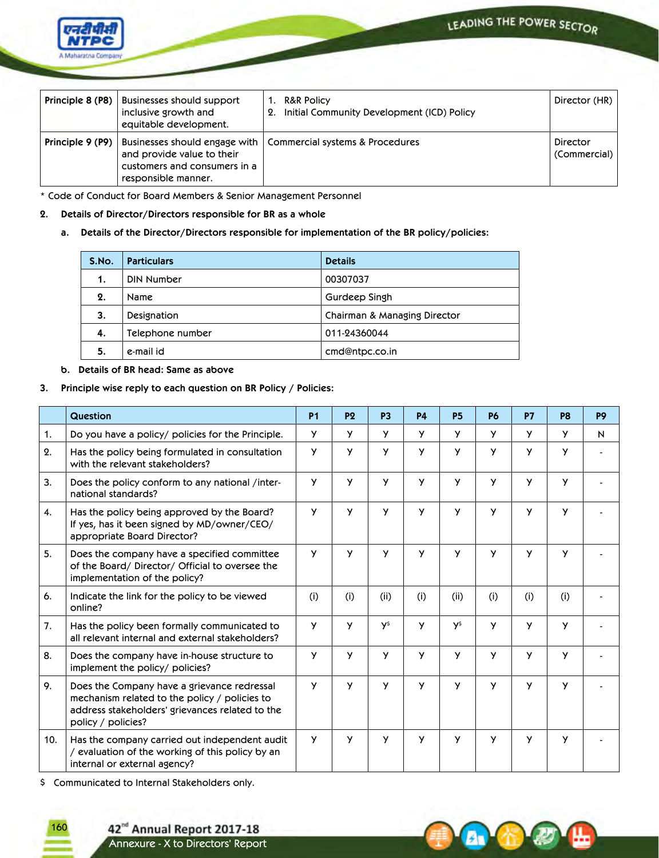

|                          | <b>Principle 8 (P8)</b> Businesses should support<br>inclusive growth and<br>equitable development.                  | <b>R&amp;R Policy</b><br>1.<br>2. Initial Community Development (ICD) Policy | Director (HR)            |
|--------------------------|----------------------------------------------------------------------------------------------------------------------|------------------------------------------------------------------------------|--------------------------|
| Principle 9 (P9) $\vert$ | Businesses should engage with  <br>and provide value to their<br>customers and consumers in a<br>responsible manner. | Commercial systems & Procedures                                              | Director<br>(Commercial) |

\* Code of Conduct for Board Members & Senior Management Personnel

- **2. Details of Director/Directors responsible for BR as a whole**
	- **a. Details of the Director/Directors responsible for implementation of the BR policy/policies:**

| S.No. | <b>Particulars</b> | <b>Details</b>               |
|-------|--------------------|------------------------------|
| 1.    | DIN Number         | 00307037                     |
| 2.    | Name               | Gurdeep Singh                |
| 3.    | Designation        | Chairman & Managing Director |
| 4.    | Telephone number   | 011-24360044                 |
| 5.    | e-mail id          | cmd@ntpc.co.in               |

# **b. Details of BR head: Same as above**

# **3. Principle wise reply to each question on BR Policy / Policies:**

|     | Question                                                                                                                                                              | <b>P1</b> | P <sub>2</sub> | P <sub>3</sub> | <b>P4</b> | <b>P5</b>  | <b>P6</b> | <b>P7</b>    | P <sub>8</sub> | P <sub>9</sub> |
|-----|-----------------------------------------------------------------------------------------------------------------------------------------------------------------------|-----------|----------------|----------------|-----------|------------|-----------|--------------|----------------|----------------|
| 1.  | Do you have a policy/ policies for the Principle.                                                                                                                     | У         | y              | <b>Y</b>       | У         | <b>Y</b>   | Y.        | y            | y              | N              |
| 2.  | Has the policy being formulated in consultation<br>with the relevant stakeholders?                                                                                    | y         | <b>y</b>       | y              | y         | y          | У         | y            | <b>Y</b>       |                |
| 3.  | Does the policy conform to any national /inter-<br>national standards?                                                                                                | <b>y</b>  | <b>y</b>       | y              | y         | <b>y</b>   | У         | y            | <b>y</b>       |                |
| 4.  | Has the policy being approved by the Board?<br>If yes, has it been signed by MD/owner/CEO/<br>appropriate Board Director?                                             | y         | <b>y</b>       | y              | y         | <b>y</b>   | У         | $\mathsf{v}$ | y              |                |
| 5.  | Does the company have a specified committee<br>of the Board/Director/Official to oversee the<br>implementation of the policy?                                         | y         | y              | y              | y         | <b>y</b>   | У         | y            | <b>y</b>       |                |
| 6.  | Indicate the link for the policy to be viewed<br>online?                                                                                                              | (i)       | (i)            | (ii)           | (i)       | (ii)       | (i)       | (i)          | (i)            |                |
| 7.  | Has the policy been formally communicated to<br>all relevant internal and external stakeholders?                                                                      | y         | y              | <b>y</b>       | y         | <b>y</b> s | У         | y            | <b>y</b>       |                |
| 8.  | Does the company have in-house structure to<br>implement the policy/ policies?                                                                                        | У         | y              | y              | y         | y          | y         | y            | <b>y</b>       |                |
| 9.  | Does the Company have a grievance redressal<br>mechanism related to the policy / policies to<br>address stakeholders' grievances related to the<br>policy / policies? | y         | $\mathsf{v}$   | <b>Y</b>       | y         | <b>Y</b>   | У         | y            | <b>Y</b>       |                |
| 10. | Has the company carried out independent audit<br>/ evaluation of the working of this policy by an<br>internal or external agency?                                     | y         | y              | y              | У         | y          | У         | У            | y              |                |

\$ Communicated to Internal Stakeholders only.

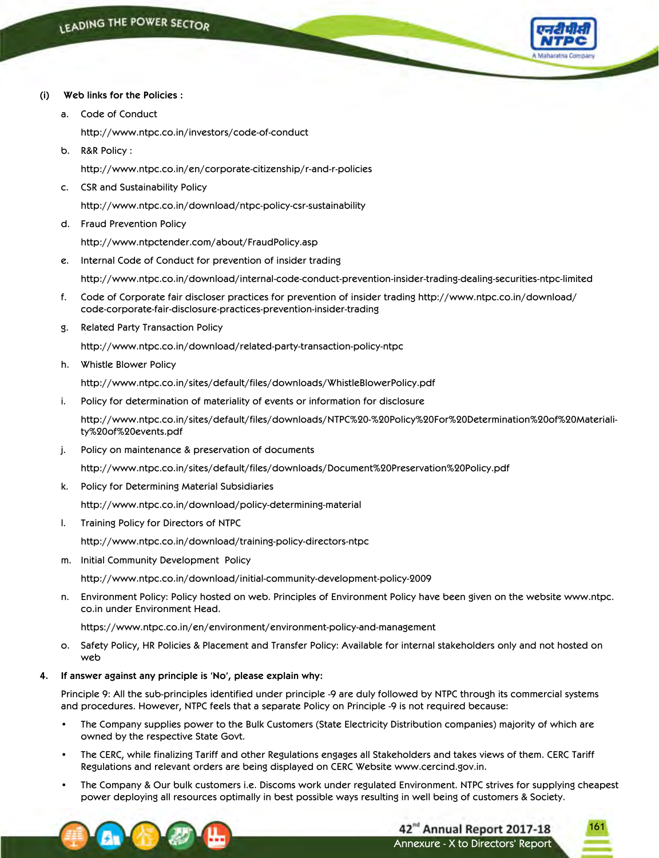

- **(i) Web links for the Policies :**
	- a. Code of Conduct

http://www.ntpc.co.in/investors/code-of-conduct

b. R&R Policy :

http://www.ntpc.co.in/en/corporate-citizenship/r-and-r-policies

c. CSR and Sustainability Policy

http://www.ntpc.co.in/download/ntpc-policy-csr-sustainability

d. Fraud Prevention Policy

http://www.ntpctender.com/about/FraudPolicy.asp

e. Internal Code of Conduct for prevention of insider trading

http://www.ntpc.co.in/download/internal-code-conduct-prevention-insider-trading-dealing-securities-ntpc-limited

- f. Code of Corporate fair discloser practices for prevention of insider trading http://www.ntpc.co.in/download/ code-corporate-fair-disclosure-practices-prevention-insider-trading
- g. Related Party Transaction Policy

http://www.ntpc.co.in/download/related-party-transaction-policy-ntpc

h. Whistle Blower Policy

http://www.ntpc.co.in/sites/default/files/downloads/WhistleBlowerPolicy.pdf

i. Policy for determination of materiality of events or information for disclosure

 http://www.ntpc.co.in/sites/default/files/downloads/NTPC%20-%20Policy%20For%20Determination%20of%20Materiality%20of%20events.pdf

j. Policy on maintenance & preservation of documents

http://www.ntpc.co.in/sites/default/files/downloads/Document%20Preservation%20Policy.pdf

k. Policy for Determining Material Subsidiaries

http://www.ntpc.co.in/download/policy-determining-material

l. Training Policy for Directors of NTPC

http://www.ntpc.co.in/download/training-policy-directors-ntpc

m. Initial Community Development Policy

http://www.ntpc.co.in/download/initial-community-development-policy-2009

n. Environment Policy: Policy hosted on web. Principles of Environment Policy have been given on the website www.ntpc. co.in under Environment Head.

https://www.ntpc.co.in/en/environment/environment-policy-and-management

o. Safety Policy, HR Policies & Placement and Transfer Policy: Available for internal stakeholders only and not hosted on web

#### **4. If answer against any principle is 'No', please explain why:**

Principle 9: All the sub-principles identified under principle -9 are duly followed by NTPC through its commercial systems and procedures. However, NTPC feels that a separate Policy on Principle -9 is not required because:

- The Company supplies power to the Bulk Customers (State Electricity Distribution companies) majority of which are owned by the respective State Govt.
- The CERC, while finalizing Tariff and other Regulations engages all Stakeholders and takes views of them. CERC Tariff Regulations and relevant orders are being displayed on CERC Website www.cercind.gov.in.
- The Company & Our bulk customers i.e. Discoms work under regulated Environment. NTPC strives for supplying cheapest power deploying all resources optimally in best possible ways resulting in well being of customers & Society.

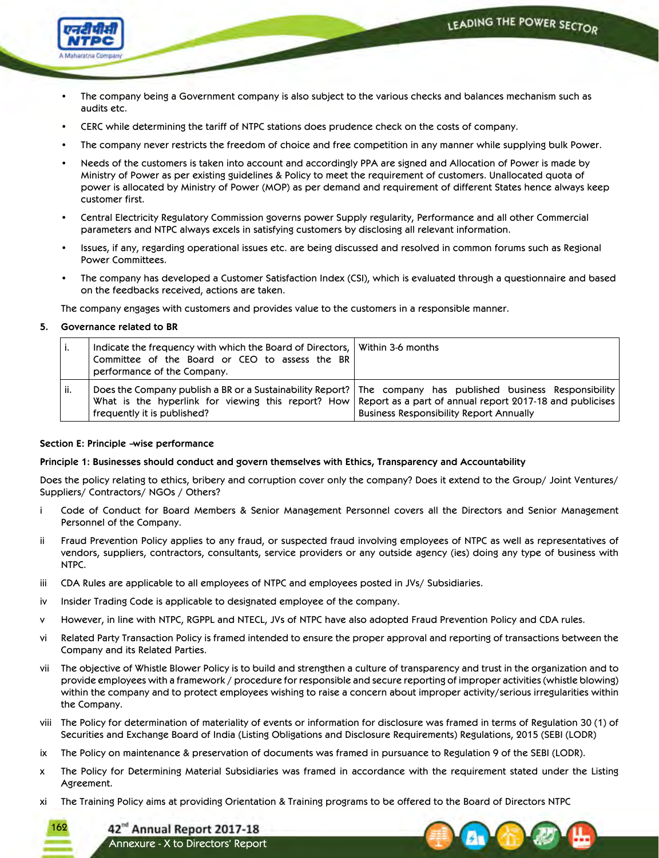LEADING THE POWER SECTOR



- The company being a Government company is also subject to the various checks and balances mechanism such as audits etc.
- CERC while determining the tariff of NTPC stations does prudence check on the costs of company.
- The company never restricts the freedom of choice and free competition in any manner while supplying bulk Power.
- Needs of the customers is taken into account and accordingly PPA are signed and Allocation of Power is made by Ministry of Power as per existing guidelines & Policy to meet the requirement of customers. Unallocated quota of power is allocated by Ministry of Power (MOP) as per demand and requirement of different States hence always keep customer first.
- Central Electricity Regulatory Commission governs power Supply regularity, Performance and all other Commercial parameters and NTPC always excels in satisfying customers by disclosing all relevant information.
- Issues, if any, regarding operational issues etc. are being discussed and resolved in common forums such as Regional Power Committees.
- The company has developed a Customer Satisfaction Index (CSI), which is evaluated through a questionnaire and based on the feedbacks received, actions are taken.

The company engages with customers and provides value to the customers in a responsible manner.

# **5. Governance related to BR**

| ٠.  | Indicate the frequency with which the Board of Directors, Within 3-6 months<br>Committee of the Board or CEO to assess the BR<br>performance of the Company. |                                                                                                                                                                                                                                                                                |
|-----|--------------------------------------------------------------------------------------------------------------------------------------------------------------|--------------------------------------------------------------------------------------------------------------------------------------------------------------------------------------------------------------------------------------------------------------------------------|
| ii. | frequently it is published?                                                                                                                                  | Does the Company publish a BR or a Sustainability Report?   The company has published business Responsibility<br>What is the hyperlink for viewing this report? How Report as a part of annual report 2017-18 and publicises<br><b>Business Responsibility Report Annually</b> |

# **Section E: Principle –wise performance**

# **Principle 1: Businesses should conduct and govern themselves with Ethics, Transparency and Accountability**

Does the policy relating to ethics, bribery and corruption cover only the company? Does it extend to the Group/ Joint Ventures/ Suppliers/ Contractors/ NGOs / Others?

- i Code of Conduct for Board Members & Senior Management Personnel covers all the Directors and Senior Management Personnel of the Company.
- ii Fraud Prevention Policy applies to any fraud, or suspected fraud involving employees of NTPC as well as representatives of vendors, suppliers, contractors, consultants, service providers or any outside agency (ies) doing any type of business with NTPC.
- iii CDA Rules are applicable to all employees of NTPC and employees posted in JVs/ Subsidiaries.
- iv Insider Trading Code is applicable to designated employee of the company.
- v However, in line with NTPC, RGPPL and NTECL, JVs of NTPC have also adopted Fraud Prevention Policy and CDA rules.
- vi Related Party Transaction Policy is framed intended to ensure the proper approval and reporting of transactions between the Company and its Related Parties.
- vii The objective of Whistle Blower Policy is to build and strengthen a culture of transparency and trust in the organization and to provide employees with a framework / procedure for responsible and secure reporting of improper activities (whistle blowing) within the company and to protect employees wishing to raise a concern about improper activity/serious irregularities within the Company.
- viii The Policy for determination of materiality of events or information for disclosure was framed in terms of Regulation 30 (1) of Securities and Exchange Board of India (Listing Obligations and Disclosure Requirements) Regulations, 2015 (SEBI (LODR)
- ix The Policy on maintenance & preservation of documents was framed in pursuance to Regulation 9 of the SEBI (LODR).
- x The Policy for Determining Material Subsidiaries was framed in accordance with the requirement stated under the Listing Agreement.
- xi The Training Policy aims at providing Orientation & Training programs to be offered to the Board of Directors NTPC



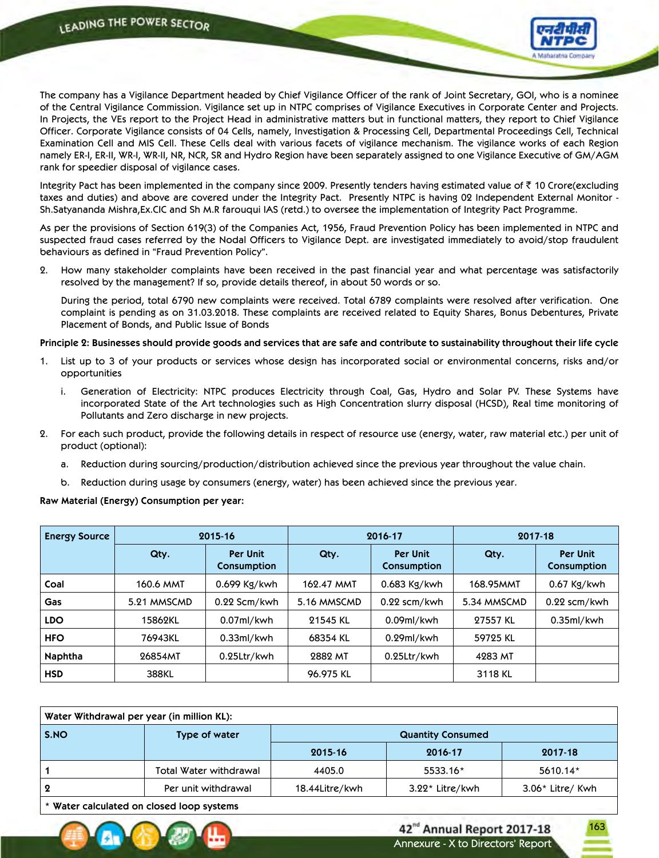

163

Annexure - X to Directors' Report

42<sup>nd</sup> Annual Report 2017-18

The company has a Vigilance Department headed by Chief Vigilance Officer of the rank of Joint Secretary, GOI, who is a nominee of the Central Vigilance Commission. Vigilance set up in NTPC comprises of Vigilance Executives in Corporate Center and Projects. In Projects, the VEs report to the Project Head in administrative matters but in functional matters, they report to Chief Vigilance Officer. Corporate Vigilance consists of 04 Cells, namely, Investigation & Processing Cell, Departmental Proceedings Cell, Technical Examination Cell and MIS Cell. These Cells deal with various facets of vigilance mechanism. The vigilance works of each Region namely ER-I, ER-II, WR-I, WR-II, NR, NCR, SR and Hydro Region have been separately assigned to one Vigilance Executive of GM/AGM rank for speedier disposal of vigilance cases.

Integrity Pact has been implemented in the company since 2009. Presently tenders having estimated value of  $\bar{\tau}$  10 Crore(excluding taxes and duties) and above are covered under the Integrity Pact. Presently NTPC is having 02 Independent External Monitor - Sh.Satyananda Mishra,Ex.CIC and Sh M.R farouqui IAS (retd.) to oversee the implementation of Integrity Pact Programme.

As per the provisions of Section 619(3) of the Companies Act, 1956, Fraud Prevention Policy has been implemented in NTPC and suspected fraud cases referred by the Nodal Officers to Vigilance Dept. are investigated immediately to avoid/stop fraudulent behaviours as defined in "Fraud Prevention Policy".

2. How many stakeholder complaints have been received in the past financial year and what percentage was satisfactorily resolved by the management? If so, provide details thereof, in about 50 words or so.

 During the period, total 6790 new complaints were received. Total 6789 complaints were resolved after verification. One complaint is pending as on 31.03.2018. These complaints are received related to Equity Shares, Bonus Debentures, Private Placement of Bonds, and Public Issue of Bonds

## Principle 2: Businesses should provide goods and services that are safe and contribute to sustainability throughout their life cycle

- 1. List up to 3 of your products or services whose design has incorporated social or environmental concerns, risks and/or opportunities
	- i. Generation of Electricity: NTPC produces Electricity through Coal, Gas, Hydro and Solar PV. These Systems have incorporated State of the Art technologies such as High Concentration slurry disposal (HCSD), Real time monitoring of Pollutants and Zero discharge in new projects.
- 2. For each such product, provide the following details in respect of resource use (energy, water, raw material etc.) per unit of product (optional):
	- a. Reduction during sourcing/production/distribution achieved since the previous year throughout the value chain.
	- b. Reduction during usage by consumers (energy, water) has been achieved since the previous year.

**Raw Material (Energy) Consumption per year:**

| <b>Energy Source</b> |             | 2015-16                        |             | 2016-17                        | 2017-18     |                                |  |
|----------------------|-------------|--------------------------------|-------------|--------------------------------|-------------|--------------------------------|--|
|                      | Qty.        | <b>Per Unit</b><br>Consumption | Qty.        | <b>Per Unit</b><br>Consumption | Qty.        | <b>Per Unit</b><br>Consumption |  |
| Coal                 | 160.6 MMT   | $0.699$ Kg/kwh                 | 162.47 MMT  | $0.683$ Kg/kwh                 | 168.95MMT   | $0.67$ Kg/kwh                  |  |
| Gas                  | 5.21 MMSCMD | 0.22 Scm/kwh                   | 5.16 MMSCMD | $0.22$ scm/kwh                 | 5.34 MMSCMD | $0.22$ scm/kwh                 |  |
| <b>LDO</b>           | 15862KL     | $0.07$ ml/kwh                  | 21545 KL    | 0.09ml/kwh                     | 27557 KL    | 0.35ml/kwh                     |  |
| <b>HFO</b>           | 76943KL     | 0.33ml/kwh                     | 68354 KL    | 0.29ml/kwh                     | 59725 KL    |                                |  |
| <b>Naphtha</b>       | 26854MT     | 0.25Ltr/kwh                    | 2882 MT     | 0.25Ltr/kwh                    | 4283 MT     |                                |  |
| <b>HSD</b>           | 388KL       |                                | 96.975 KL   |                                | 3118 KL     |                                |  |

| Water Withdrawal per year (in million KL): |                        |                          |                   |                    |  |  |  |  |  |
|--------------------------------------------|------------------------|--------------------------|-------------------|--------------------|--|--|--|--|--|
| S.NO                                       | Type of water          | <b>Quantity Consumed</b> |                   |                    |  |  |  |  |  |
|                                            |                        | 2015-16                  | 2016-17           | 2017-18            |  |  |  |  |  |
|                                            | Total Water withdrawal | 4405.0                   | 5533.16*          | 5610.14*           |  |  |  |  |  |
| 2                                          | Per unit withdrawal    | 18.44Litre/kwh           | $3.22*$ Litre/kwh | $3.06*$ Litre/ Kwh |  |  |  |  |  |
|                                            |                        |                          |                   |                    |  |  |  |  |  |

**\* Water calculated on closed loop systems**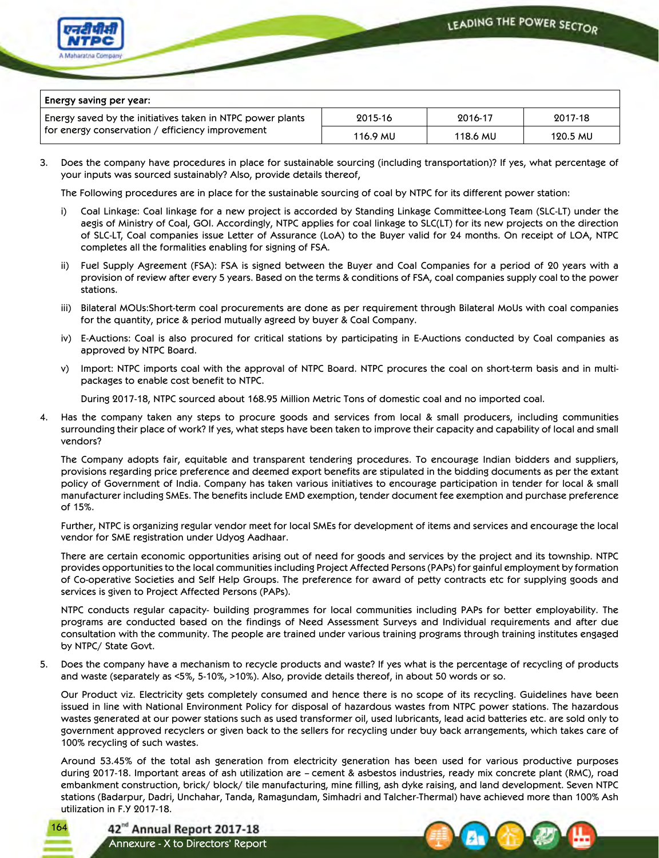

| Energy saving per year: |  |
|-------------------------|--|
|-------------------------|--|

| Energy saved by the initiatives taken in NTPC power plants<br>for energy conservation / efficiency improvement | 2015-16  | 2016-17  | 2017-18  |  |
|----------------------------------------------------------------------------------------------------------------|----------|----------|----------|--|
|                                                                                                                | 116.9 MU | 118.6 MU | 120.5 MU |  |

3. Does the company have procedures in place for sustainable sourcing (including transportation)? If yes, what percentage of your inputs was sourced sustainably? Also, provide details thereof,

The Following procedures are in place for the sustainable sourcing of coal by NTPC for its different power station:

- i) Coal Linkage: Coal linkage for a new project is accorded by Standing Linkage Committee-Long Team (SLC-LT) under the aegis of Ministry of Coal, GOI. Accordingly, NTPC applies for coal linkage to SLC(LT) for its new projects on the direction of SLC-LT, Coal companies issue Letter of Assurance (LoA) to the Buyer valid for 24 months. On receipt of LOA, NTPC completes all the formalities enabling for signing of FSA.
- ii) Fuel Supply Agreement (FSA): FSA is signed between the Buyer and Coal Companies for a period of 20 years with a provision of review after every 5 years. Based on the terms & conditions of FSA, coal companies supply coal to the power stations.
- iii) Bilateral MOUs:Short-term coal procurements are done as per requirement through Bilateral MoUs with coal companies for the quantity, price & period mutually agreed by buyer & Coal Company.
- iv) E-Auctions: Coal is also procured for critical stations by participating in E-Auctions conducted by Coal companies as approved by NTPC Board.
- v) Import: NTPC imports coal with the approval of NTPC Board. NTPC procures the coal on short-term basis and in multipackages to enable cost benefit to NTPC.

During 2017-18, NTPC sourced about 168.95 Million Metric Tons of domestic coal and no imported coal.

4. Has the company taken any steps to procure goods and services from local & small producers, including communities surrounding their place of work? If yes, what steps have been taken to improve their capacity and capability of local and small vendors?

 The Company adopts fair, equitable and transparent tendering procedures. To encourage Indian bidders and suppliers, provisions regarding price preference and deemed export benefits are stipulated in the bidding documents as per the extant policy of Government of India. Company has taken various initiatives to encourage participation in tender for local & small manufacturer including SMEs. The benefits include EMD exemption, tender document fee exemption and purchase preference of 15%.

 Further, NTPC is organizing regular vendor meet for local SMEs for development of items and services and encourage the local vendor for SME registration under Udyog Aadhaar.

 There are certain economic opportunities arising out of need for goods and services by the project and its township. NTPC provides opportunities to the local communities including Project Affected Persons (PAPs) for gainful employment by formation of Co-operative Societies and Self Help Groups. The preference for award of petty contracts etc for supplying goods and services is given to Project Affected Persons (PAPs).

NTPC conducts regular capacity- building programmes for local communities including PAPs for better employability. The programs are conducted based on the findings of Need Assessment Surveys and Individual requirements and after due consultation with the community. The people are trained under various training programs through training institutes engaged by NTPC/ State Govt.

5. Does the company have a mechanism to recycle products and waste? If yes what is the percentage of recycling of products and waste (separately as <5%, 5-10%, >10%). Also, provide details thereof, in about 50 words or so.

 Our Product viz. Electricity gets completely consumed and hence there is no scope of its recycling. Guidelines have been issued in line with National Environment Policy for disposal of hazardous wastes from NTPC power stations. The hazardous wastes generated at our power stations such as used transformer oil, used lubricants, lead acid batteries etc. are sold only to government approved recyclers or given back to the sellers for recycling under buy back arrangements, which takes care of 100% recycling of such wastes.

 Around 53.45% of the total ash generation from electricity generation has been used for various productive purposes during 2017-18. Important areas of ash utilization are – cement & asbestos industries, ready mix concrete plant (RMC), road embankment construction, brick/ block/ tile manufacturing, mine filling, ash dyke raising, and land development. Seven NTPC stations (Badarpur, Dadri, Unchahar, Tanda, Ramagundam, Simhadri and Talcher-Thermal) have achieved more than 100% Ash utilization in F.Y 2017-18.

42<sup>nd</sup> Annual Report 2017-18 Annexure - X to Directors' Report

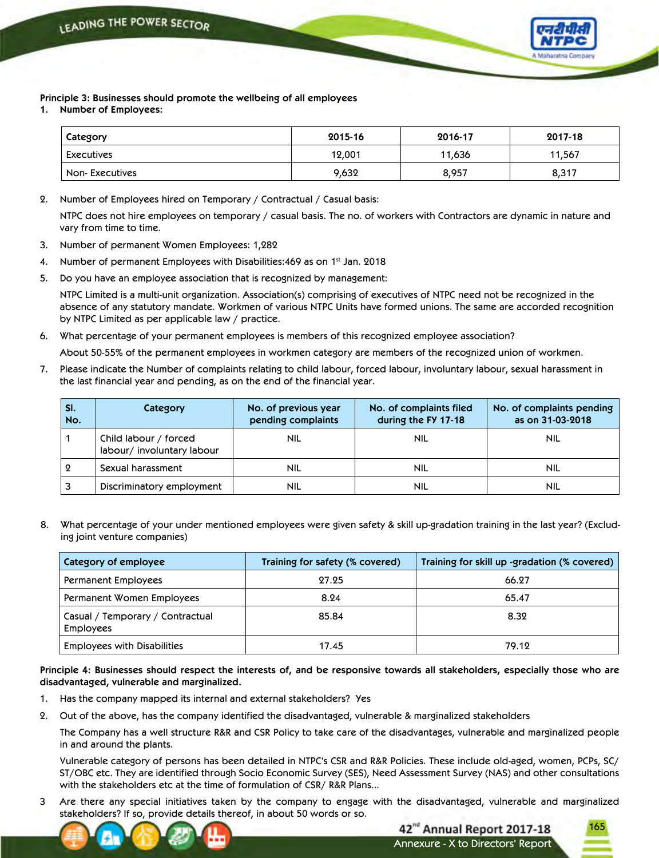

**Principle 3: Businesses should promote the wellbeing of all employees**

**1. Number of Employees:**

| Category       | 2015-16 | 2016-17 | 2017-18 |
|----------------|---------|---------|---------|
| Executives     | 12,001  | 11,636  | 11,567  |
| Non-Executives | 9,632   | 8,957   | 8,317   |

2. Number of Employees hired on Temporary / Contractual / Casual basis:

 NTPC does not hire employees on temporary / casual basis. The no. of workers with Contractors are dynamic in nature and vary from time to time.

- 3. Number of permanent Women Employees: 1,282
- 4. Number of permanent Employees with Disabilities:  $469$  as on  $1<sup>st</sup>$  Jan. 2018
- 5. Do you have an employee association that is recognized by management:

 NTPC Limited is a multi-unit organization. Association(s) comprising of executives of NTPC need not be recognized in the absence of any statutory mandate. Workmen of various NTPC Units have formed unions. The same are accorded recognition by NTPC Limited as per applicable law / practice.

6. What percentage of your permanent employees is members of this recognized employee association?

About 50-55% of the permanent employees in workmen category are members of the recognized union of workmen.

7. Please indicate the Number of complaints relating to child labour, forced labour, involuntary labour, sexual harassment in the last financial year and pending, as on the end of the financial year.

| SI.<br>No. | Category                                           | No. of previous year<br>pending complaints | No. of complaints filed<br>during the FY 17-18 | No. of complaints pending<br>as on 31-03-2018 |
|------------|----------------------------------------------------|--------------------------------------------|------------------------------------------------|-----------------------------------------------|
|            | Child labour / forced<br>labour/involuntary labour | <b>NIL</b>                                 | NIL                                            | <b>NIL</b>                                    |
| $\Omega$   | Sexual harassment                                  | NIL                                        | <b>NIL</b>                                     | <b>NIL</b>                                    |
| 3          | Discriminatory employment                          | nil                                        | NIL                                            | NIL                                           |

8. What percentage of your under mentioned employees were given safety & skill up-gradation training in the last year? (Excluding joint venture companies)

| Category of employee                                 | Training for safety (% covered) | Training for skill up -gradation (% covered) |
|------------------------------------------------------|---------------------------------|----------------------------------------------|
| <b>Permanent Employees</b>                           | 27.25                           | 66.27                                        |
| Permanent Women Employees                            | 8.24                            | 65.47                                        |
| Casual / Temporary / Contractual<br><b>Employees</b> | 85.84                           | 8.32                                         |
| <b>Employees with Disabilities</b>                   | 17.45                           | 79.12                                        |

Principle 4: Businesses should respect the interests of, and be responsive towards all stakeholders, especially those who are **disadvantaged, vulnerable and marginalized.**

- 1. Has the company mapped its internal and external stakeholders? Yes
- 2. Out of the above, has the company identified the disadvantaged, vulnerable & marginalized stakeholders

 The Company has a well structure R&R and CSR Policy to take care of the disadvantages, vulnerable and marginalized people in and around the plants.

Vulnerable category of persons has been detailed in NTPC's CSR and R&R Policies. These include old-aged, women, PCPs, SC/ ST/OBC etc. They are identified through Socio Economic Survey (SES), Need Assessment Survey (NAS) and other consultations with the stakeholders etc at the time of formulation of CSR/ R&R Plans...

3 Are there any special initiatives taken by the company to engage with the disadvantaged, vulnerable and marginalized stakeholders? If so, provide details thereof, in about 50 words or so.

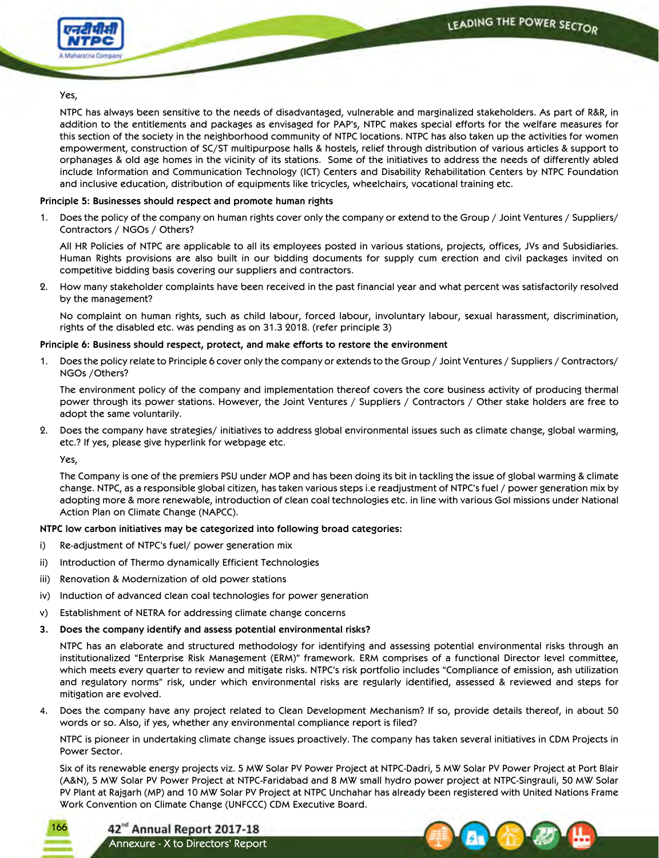

## Yes,

 NTPC has always been sensitive to the needs of disadvantaged, vulnerable and marginalized stakeholders. As part of R&R, in addition to the entitlements and packages as envisaged for PAP's, NTPC makes special efforts for the welfare measures for this section of the society in the neighborhood community of NTPC locations. NTPC has also taken up the activities for women empowerment, construction of SC/ST multipurpose halls & hostels, relief through distribution of various articles & support to orphanages & old age homes in the vicinity of its stations. Some of the initiatives to address the needs of differently abled include Information and Communication Technology (ICT) Centers and Disability Rehabilitation Centers by NTPC Foundation and inclusive education, distribution of equipments like tricycles, wheelchairs, vocational training etc.

## **Principle 5: Businesses should respect and promote human rights**

1. Does the policy of the company on human rights cover only the company or extend to the Group / Joint Ventures / Suppliers/ Contractors / NGOs / Others?

 All HR Policies of NTPC are applicable to all its employees posted in various stations, projects, offices, JVs and Subsidiaries. Human Rights provisions are also built in our bidding documents for supply cum erection and civil packages invited on competitive bidding basis covering our suppliers and contractors.

2. How many stakeholder complaints have been received in the past financial year and what percent was satisfactorily resolved by the management?

 No complaint on human rights, such as child labour, forced labour, involuntary labour, sexual harassment, discrimination, rights of the disabled etc. was pending as on 31.3 2018. (refer principle 3)

# **Principle 6: Business should respect, protect, and make efforts to restore the environment**

1. Does the policy relate to Principle 6 cover only the company or extends to the Group / Joint Ventures / Suppliers / Contractors/ NGOs /Others?

 The environment policy of the company and implementation thereof covers the core business activity of producing thermal power through its power stations. However, the Joint Ventures / Suppliers / Contractors / Other stake holders are free to adopt the same voluntarily.

2. Does the company have strategies/ initiatives to address global environmental issues such as climate change, global warming, etc.? If yes, please give hyperlink for webpage etc.

Yes,

 The Company is one of the premiers PSU under MOP and has been doing its bit in tackling the issue of global warming & climate change. NTPC, as a responsible global citizen, has taken various steps i.e readjustment of NTPC's fuel / power generation mix by adopting more & more renewable, introduction of clean coal technologies etc. in line with various GoI missions under National Action Plan on Climate Change (NAPCC).

# **NTPC low carbon initiatives may be categorized into following broad categories:**

- i) Re-adjustment of NTPC's fuel/ power generation mix
- ii) Introduction of Thermo dynamically Efficient Technologies
- iii) Renovation & Modernization of old power stations
- iv) Induction of advanced clean coal technologies for power generation
- v) Establishment of NETRA for addressing climate change concerns
- **3. Does the company identify and assess potential environmental risks?**

NTPC has an elaborate and structured methodology for identifying and assessing potential environmental risks through an institutionalized "Enterprise Risk Management (ERM)" framework. ERM comprises of a functional Director level committee, which meets every quarter to review and mitigate risks. NTPC's risk portfolio includes "Compliance of emission, ash utilization and regulatory norms" risk, under which environmental risks are regularly identified, assessed & reviewed and steps for mitigation are evolved.

4. Does the company have any project related to Clean Development Mechanism? If so, provide details thereof, in about 50 words or so. Also, if yes, whether any environmental compliance report is filed?

 NTPC is pioneer in undertaking climate change issues proactively. The company has taken several initiatives in CDM Projects in Power Sector.

 Six of its renewable energy projects viz. 5 MW Solar PV Power Project at NTPC-Dadri, 5 MW Solar PV Power Project at Port Blair (A&N), 5 MW Solar PV Power Project at NTPC-Faridabad and 8 MW small hydro power project at NTPC-Singrauli, 50 MW Solar PV Plant at Rajgarh (MP) and 10 MW Solar PV Project at NTPC Unchahar has already been registered with United Nations Frame Work Convention on Climate Change (UNFCCC) CDM Executive Board.



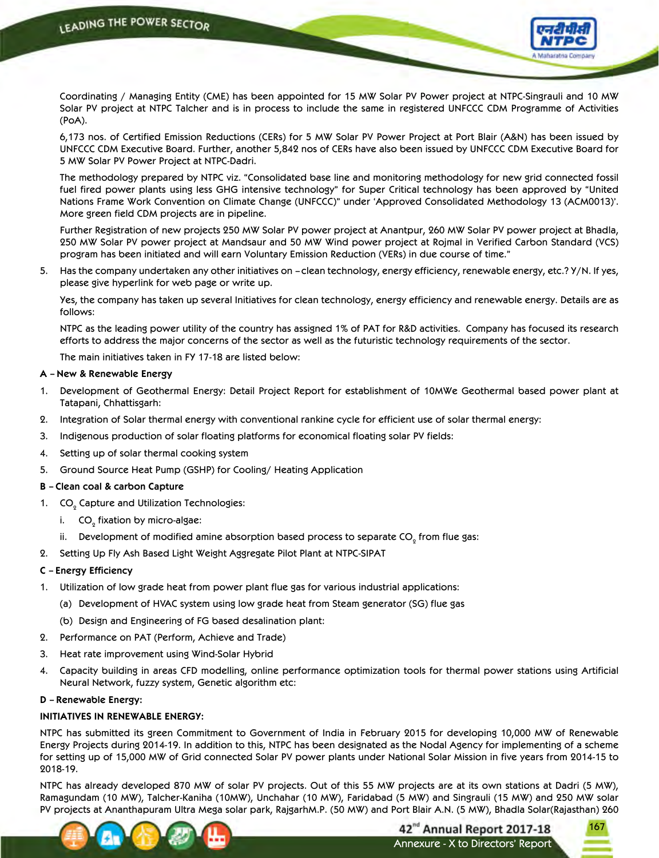

 Coordinating / Managing Entity (CME) has been appointed for 15 MW Solar PV Power project at NTPC-Singrauli and 10 MW Solar PV project at NTPC Talcher and is in process to include the same in registered UNFCCC CDM Programme of Activities (PoA).

 6,173 nos. of Certified Emission Reductions (CERs) for 5 MW Solar PV Power Project at Port Blair (A&N) has been issued by UNFCCC CDM Executive Board. Further, another 5,842 nos of CERs have also been issued by UNFCCC CDM Executive Board for 5 MW Solar PV Power Project at NTPC-Dadri.

 The methodology prepared by NTPC viz. "Consolidated base line and monitoring methodology for new grid connected fossil fuel fired power plants using less GHG intensive technology" for Super Critical technology has been approved by "United Nations Frame Work Convention on Climate Change (UNFCCC)" under 'Approved Consolidated Methodology 13 (ACM0013)'. More green field CDM projects are in pipeline.

 Further Registration of new projects 250 MW Solar PV power project at Anantpur, 260 MW Solar PV power project at Bhadla, 250 MW Solar PV power project at Mandsaur and 50 MW Wind power project at Rojmal in Verified Carbon Standard (VCS) program has been initiated and will earn Voluntary Emission Reduction (VERs) in due course of time."

5. Has the company undertaken any other initiatives on – clean technology, energy efficiency, renewable energy, etc.? Y/N. If yes, please give hyperlink for web page or write up.

 Yes, the company has taken up several Initiatives for clean technology, energy efficiency and renewable energy. Details are as follows:

 NTPC as the leading power utility of the country has assigned 1% of PAT for R&D activities. Company has focused its research efforts to address the major concerns of the sector as well as the futuristic technology requirements of the sector.

The main initiatives taken in FY 17-18 are listed below:

# **A – New & Renewable Energy**

- 1. Development of Geothermal Energy: Detail Project Report for establishment of 10MWe Geothermal based power plant at Tatapani, Chhattisgarh:
- 2. Integration of Solar thermal energy with conventional rankine cycle for efficient use of solar thermal energy:
- 3. Indigenous production of solar floating platforms for economical floating solar PV fields:
- 4. Setting up of solar thermal cooking system
- 5. Ground Source Heat Pump (GSHP) for Cooling/ Heating Application

# **B – Clean coal & carbon Capture**

- 1.  $CO_{\varrho}$  Capture and Utilization Technologies:
	- i.  $\;\;\mathsf{CO}_{_2}$  fixation by micro-algae:
	- ii. Development of modified amine absorption based process to separate CO $_{_2}$  from flue gas:
- 2. Setting Up Fly Ash Based Light Weight Aggregate Pilot Plant at NTPC-SIPAT

# **C – Energy Efficiency**

- 1. Utilization of low grade heat from power plant flue gas for various industrial applications:
	- (a) Development of HVAC system using low grade heat from Steam generator (SG) flue gas
	- (b) Design and Engineering of FG based desalination plant:
- 2. Performance on PAT (Perform, Achieve and Trade)
- 3. Heat rate improvement using Wind-Solar Hybrid
- 4. Capacity building in areas CFD modelling, online performance optimization tools for thermal power stations using Artificial Neural Network, fuzzy system, Genetic algorithm etc:

#### **D – Renewable Energy:**

# **INITIATIVES IN RENEWABLE ENERGY:**

NTPC has submitted its green Commitment to Government of India in February 2015 for developing 10,000 MW of Renewable Energy Projects during 2014-19. In addition to this, NTPC has been designated as the Nodal Agency for implementing of a scheme for setting up of 15,000 MW of Grid connected Solar PV power plants under National Solar Mission in five years from 2014-15 to 2018-19.

NTPC has already developed 870 MW of solar PV projects. Out of this 55 MW projects are at its own stations at Dadri (5 MW), Ramagundam (10 MW), Talcher-Kaniha (10MW), Unchahar (10 MW), Faridabad (5 MW) and Singrauli (15 MW) and 250 MW solar PV projects at Ananthapuram Ultra Mega solar park, RajgarhM.P. (50 MW) and Port Blair A.N. (5 MW), Bhadla Solar(Rajasthan) 260



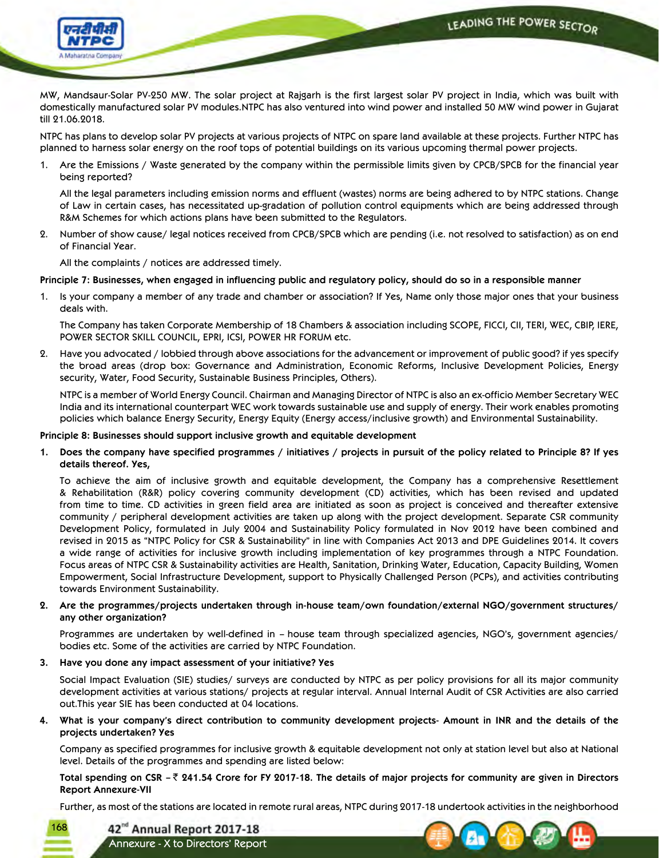LEADING THE POWER SECTOR



MW, Mandsaur-Solar PV-250 MW. The solar project at Rajgarh is the first largest solar PV project in India, which was built with domestically manufactured solar PV modules.NTPC has also ventured into wind power and installed 50 MW wind power in Gujarat till 21.06.2018.

NTPC has plans to develop solar PV projects at various projects of NTPC on spare land available at these projects. Further NTPC has planned to harness solar energy on the roof tops of potential buildings on its various upcoming thermal power projects.

1. Are the Emissions / Waste generated by the company within the permissible limits given by CPCB/SPCB for the financial year being reported?

 All the legal parameters including emission norms and effluent (wastes) norms are being adhered to by NTPC stations. Change of Law in certain cases, has necessitated up-gradation of pollution control equipments which are being addressed through R&M Schemes for which actions plans have been submitted to the Regulators.

2. Number of show cause/ legal notices received from CPCB/SPCB which are pending (i.e. not resolved to satisfaction) as on end of Financial Year.

All the complaints / notices are addressed timely.

# Principle 7: Businesses, when engaged in influencing public and regulatory policy, should do so in a responsible manner

1. Is your company a member of any trade and chamber or association? If Yes, Name only those major ones that your business deals with.

 The Company has taken Corporate Membership of 18 Chambers & association including SCOPE, FICCI, CII, TERI, WEC, CBIP, IERE, POWER SECTOR SKILL COUNCIL, EPRI, ICSI, POWER HR FORUM etc.

2. Have you advocated / lobbied through above associations for the advancement or improvement of public good? if yes specify the broad areas (drop box: Governance and Administration, Economic Reforms, Inclusive Development Policies, Energy security, Water, Food Security, Sustainable Business Principles, Others).

 NTPC is a member of World Energy Council. Chairman and Managing Director of NTPC is also an ex-officio Member Secretary WEC India and its international counterpart WEC work towards sustainable use and supply of energy. Their work enables promoting policies which balance Energy Security, Energy Equity (Energy access/inclusive growth) and Environmental Sustainability.

# **Principle 8: Businesses should support inclusive growth and equitable development**

1. Does the company have specified programmes / initiatives / projects in pursuit of the policy related to Principle 8? If yes **details thereof. Yes,**

 To achieve the aim of inclusive growth and equitable development, the Company has a comprehensive Resettlement & Rehabilitation (R&R) policy covering community development (CD) activities, which has been revised and updated from time to time. CD activities in green field area are initiated as soon as project is conceived and thereafter extensive community / peripheral development activities are taken up along with the project development. Separate CSR community Development Policy, formulated in July 2004 and Sustainability Policy formulated in Nov 2012 have been combined and revised in 2015 as "NTPC Policy for CSR & Sustainability" in line with Companies Act 2013 and DPE Guidelines 2014. It covers a wide range of activities for inclusive growth including implementation of key programmes through a NTPC Foundation. Focus areas of NTPC CSR & Sustainability activities are Health, Sanitation, Drinking Water, Education, Capacity Building, Women Empowerment, Social Infrastructure Development, support to Physically Challenged Person (PCPs), and activities contributing towards Environment Sustainability.

**2. Are the programmes/projects undertaken through in-house team/own foundation/external NGO/government structures/ any other organization?**

Programmes are undertaken by well-defined in – house team through specialized agencies, NGO's, government agencies/ bodies etc. Some of the activities are carried by NTPC Foundation.

**3. Have you done any impact assessment of your initiative? Yes**

 Social Impact Evaluation (SIE) studies/ surveys are conducted by NTPC as per policy provisions for all its major community development activities at various stations/ projects at regular interval. Annual Internal Audit of CSR Activities are also carried out.This year SIE has been conducted at 04 locations.

4. What is your company's direct contribution to community development projects- Amount in INR and the details of the **projects undertaken? Yes**

 Company as specified programmes for inclusive growth & equitable development not only at station level but also at National level. Details of the programmes and spending are listed below:

Total spending on CSR  $-\bar{z}$  241.54 Crore for FY 2017-18. The details of major projects for community are given in Directors **Report Annexure-VII**

Further, as most of the stations are located in remote rural areas, NTPC during 2017-18 undertook activities in the neighborhood

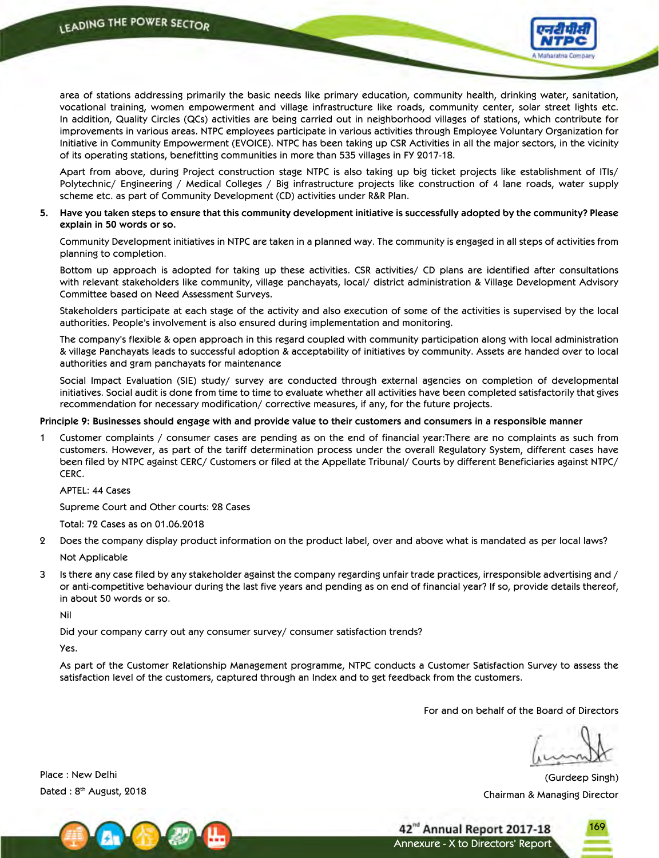

area of stations addressing primarily the basic needs like primary education, community health, drinking water, sanitation, vocational training, women empowerment and village infrastructure like roads, community center, solar street lights etc. In addition, Quality Circles (QCs) activities are being carried out in neighborhood villages of stations, which contribute for improvements in various areas. NTPC employees participate in various activities through Employee Voluntary Organization for Initiative in Community Empowerment (EVOICE). NTPC has been taking up CSR Activities in all the major sectors, in the vicinity of its operating stations, benefitting communities in more than 535 villages in FY 2017-18.

 Apart from above, during Project construction stage NTPC is also taking up big ticket projects like establishment of ITIs/ Polytechnic/ Engineering / Medical Colleges / Big infrastructure projects like construction of 4 lane roads, water supply scheme etc. as part of Community Development (CD) activities under R&R Plan.

## 5. Have you taken steps to ensure that this community development initiative is successfully adopted by the community? Please **explain in 50 words or so.**

 Community Development initiatives in NTPC are taken in a planned way. The community is engaged in all steps of activities from planning to completion.

 Bottom up approach is adopted for taking up these activities. CSR activities/ CD plans are identified after consultations with relevant stakeholders like community, village panchayats, local/ district administration & Village Development Advisory Committee based on Need Assessment Surveys.

 Stakeholders participate at each stage of the activity and also execution of some of the activities is supervised by the local authorities. People's involvement is also ensured during implementation and monitoring.

The company's flexible & open approach in this regard coupled with community participation along with local administration & village Panchayats leads to successful adoption & acceptability of initiatives by community. Assets are handed over to local authorities and gram panchayats for maintenance

 Social Impact Evaluation (SIE) study/ survey are conducted through external agencies on completion of developmental initiatives. Social audit is done from time to time to evaluate whether all activities have been completed satisfactorily that gives recommendation for necessary modification/ corrective measures, if any, for the future projects.

# Principle 9: Businesses should engage with and provide value to their customers and consumers in a responsible manner

1 Customer complaints / consumer cases are pending as on the end of financial year:There are no complaints as such from customers. However, as part of the tariff determination process under the overall Regulatory System, different cases have been filed by NTPC against CERC/ Customers or filed at the Appellate Tribunal/ Courts by different Beneficiaries against NTPC/ CERC.

APTEL: 44 Cases

Supreme Court and Other courts: 28 Cases

Total: 72 Cases as on 01.06.2018

- 2 Does the company display product information on the product label, over and above what is mandated as per local laws?
	- Not Applicable
- 3 Is there any case filed by any stakeholder against the company regarding unfair trade practices, irresponsible advertising and / or anti-competitive behaviour during the last five years and pending as on end of financial year? If so, provide details thereof, in about 50 words or so.

Nil

Did your company carry out any consumer survey/ consumer satisfaction trends?

Yes.

 As part of the Customer Relationship Management programme, NTPC conducts a Customer Satisfaction Survey to assess the satisfaction level of the customers, captured through an Index and to get feedback from the customers.

For and on behalf of the Board of Directors

(Gurdeep Singh) Chairman & Managing Director



Place : New Delhi Dated: 8<sup>th</sup> August, 2018



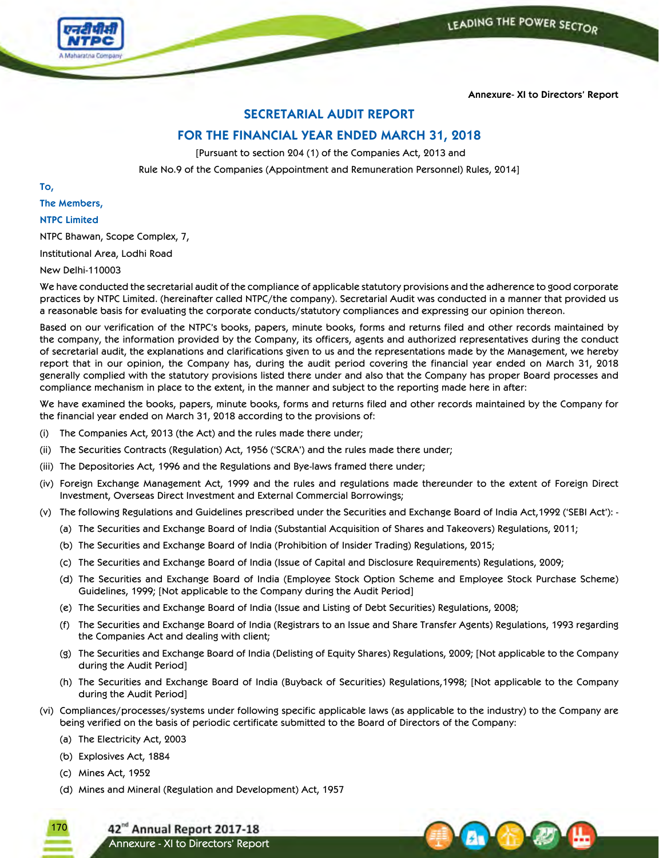



**Annexure- XI to Directors' Report**

# **SECRETARIAL AUDIT REPORT**

# **FOR THE FINANCIAL YEAR ENDED MARCH 31, 2018**

[Pursuant to section 204 (1) of the Companies Act, 2013 and

Rule No.9 of the Companies (Appointment and Remuneration Personnel) Rules, 2014]

**To,**

# **The Members,**

# **NTPC Limited**

NTPC Bhawan, Scope Complex, 7,

Institutional Area, Lodhi Road

## New Delhi-110003

We have conducted the secretarial audit of the compliance of applicable statutory provisions and the adherence to good corporate practices by NTPC Limited. (hereinafter called NTPC/the company). Secretarial Audit was conducted in a manner that provided us a reasonable basis for evaluating the corporate conducts/statutory compliances and expressing our opinion thereon.

Based on our verification of the NTPC's books, papers, minute books, forms and returns filed and other records maintained by the company, the information provided by the Company, its officers, agents and authorized representatives during the conduct of secretarial audit, the explanations and clarifications given to us and the representations made by the Management, we hereby report that in our opinion, the Company has, during the audit period covering the financial year ended on March 31, 2018 generally complied with the statutory provisions listed there under and also that the Company has proper Board processes and compliance mechanism in place to the extent, in the manner and subject to the reporting made here in after:

We have examined the books, papers, minute books, forms and returns filed and other records maintained by the Company for the financial year ended on March 31, 2018 according to the provisions of:

- (i) The Companies Act, 2013 (the Act) and the rules made there under;
- (ii) The Securities Contracts (Regulation) Act, 1956 ('SCRA') and the rules made there under;
- (iii) The Depositories Act, 1996 and the Regulations and Bye-laws framed there under;
- (iv) Foreign Exchange Management Act, 1999 and the rules and regulations made thereunder to the extent of Foreign Direct Investment, Overseas Direct Investment and External Commercial Borrowings;
- (v) The following Regulations and Guidelines prescribed under the Securities and Exchange Board of India Act,1992 ('SEBI Act'): -
	- (a) The Securities and Exchange Board of India (Substantial Acquisition of Shares and Takeovers) Regulations, 2011;
	- (b) The Securities and Exchange Board of India (Prohibition of Insider Trading) Regulations, 2015;
	- (c) The Securities and Exchange Board of India (Issue of Capital and Disclosure Requirements) Regulations, 2009;
	- (d) The Securities and Exchange Board of India (Employee Stock Option Scheme and Employee Stock Purchase Scheme) Guidelines, 1999; [Not applicable to the Company during the Audit Period]
	- (e) The Securities and Exchange Board of India (Issue and Listing of Debt Securities) Regulations, 2008;
	- (f) The Securities and Exchange Board of India (Registrars to an Issue and Share Transfer Agents) Regulations, 1993 regarding the Companies Act and dealing with client;
	- (g) The Securities and Exchange Board of India (Delisting of Equity Shares) Regulations, 2009; [Not applicable to the Company during the Audit Period]
	- (h) The Securities and Exchange Board of India (Buyback of Securities) Regulations,1998; [Not applicable to the Company during the Audit Period]
- (vi) Compliances/processes/systems under following specific applicable laws (as applicable to the industry) to the Company are being verified on the basis of periodic certificate submitted to the Board of Directors of the Company:
	- (a) The Electricity Act, 2003
	- (b) Explosives Act, 1884
	- (c) Mines Act, 1952

170

(d) Mines and Mineral (Regulation and Development) Act, 1957

42<sup>nd</sup> Annual Report 2017-18 Annexure - XI to Directors' Report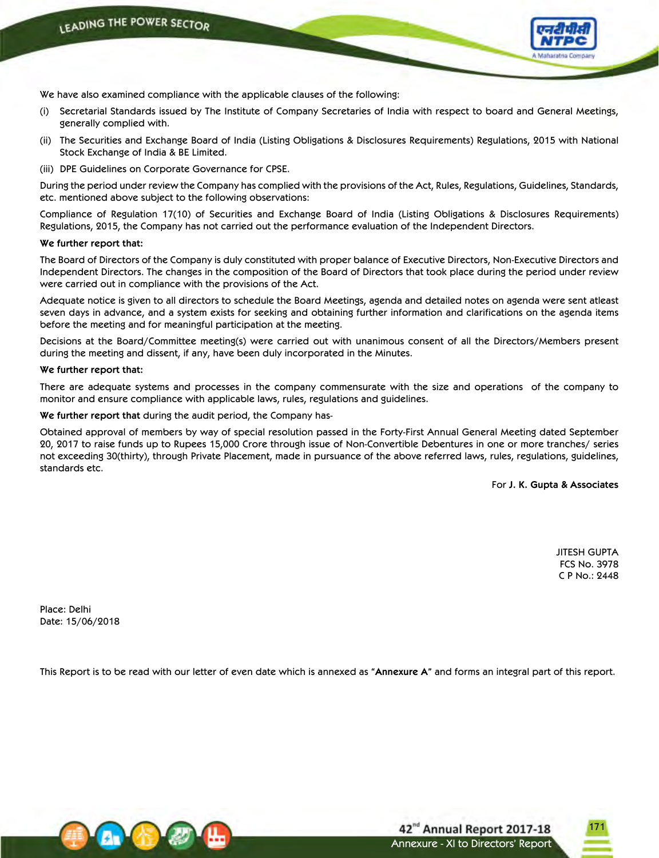

We have also examined compliance with the applicable clauses of the following:

- (i) Secretarial Standards issued by The Institute of Company Secretaries of India with respect to board and General Meetings, generally complied with.
- (ii) The Securities and Exchange Board of India (Listing Obligations & Disclosures Requirements) Regulations, 2015 with National Stock Exchange of India & BE Limited.
- (iii) DPE Guidelines on Corporate Governance for CPSE.

During the period under review the Company has complied with the provisions of the Act, Rules, Regulations, Guidelines, Standards, etc. mentioned above subject to the following observations:

Compliance of Regulation 17(10) of Securities and Exchange Board of India (Listing Obligations & Disclosures Requirements) Regulations, 2015, the Company has not carried out the performance evaluation of the Independent Directors.

#### **We further report that:**

The Board of Directors of the Company is duly constituted with proper balance of Executive Directors, Non-Executive Directors and Independent Directors. The changes in the composition of the Board of Directors that took place during the period under review were carried out in compliance with the provisions of the Act.

Adequate notice is given to all directors to schedule the Board Meetings, agenda and detailed notes on agenda were sent atleast seven days in advance, and a system exists for seeking and obtaining further information and clarifications on the agenda items before the meeting and for meaningful participation at the meeting.

Decisions at the Board/Committee meeting(s) were carried out with unanimous consent of all the Directors/Members present during the meeting and dissent, if any, have been duly incorporated in the Minutes.

#### **We further report that:**

There are adequate systems and processes in the company commensurate with the size and operations of the company to monitor and ensure compliance with applicable laws, rules, regulations and guidelines.

**We further report that** during the audit period, the Company has-

Obtained approval of members by way of special resolution passed in the Forty-First Annual General Meeting dated September 20, 2017 to raise funds up to Rupees 15,000 Crore through issue of Non-Convertible Debentures in one or more tranches/ series not exceeding 30(thirty), through Private Placement, made in pursuance of the above referred laws, rules, regulations, guidelines, standards etc.

For **J. K. Gupta & Associates**

JITESH GUPTA FCS No. 3978 C P No.: 2448

Place: Delhi Date: 15/06/2018

This Report is to be read with our letter of even date which is annexed as **"Annexure A"** and forms an integral part of this report.